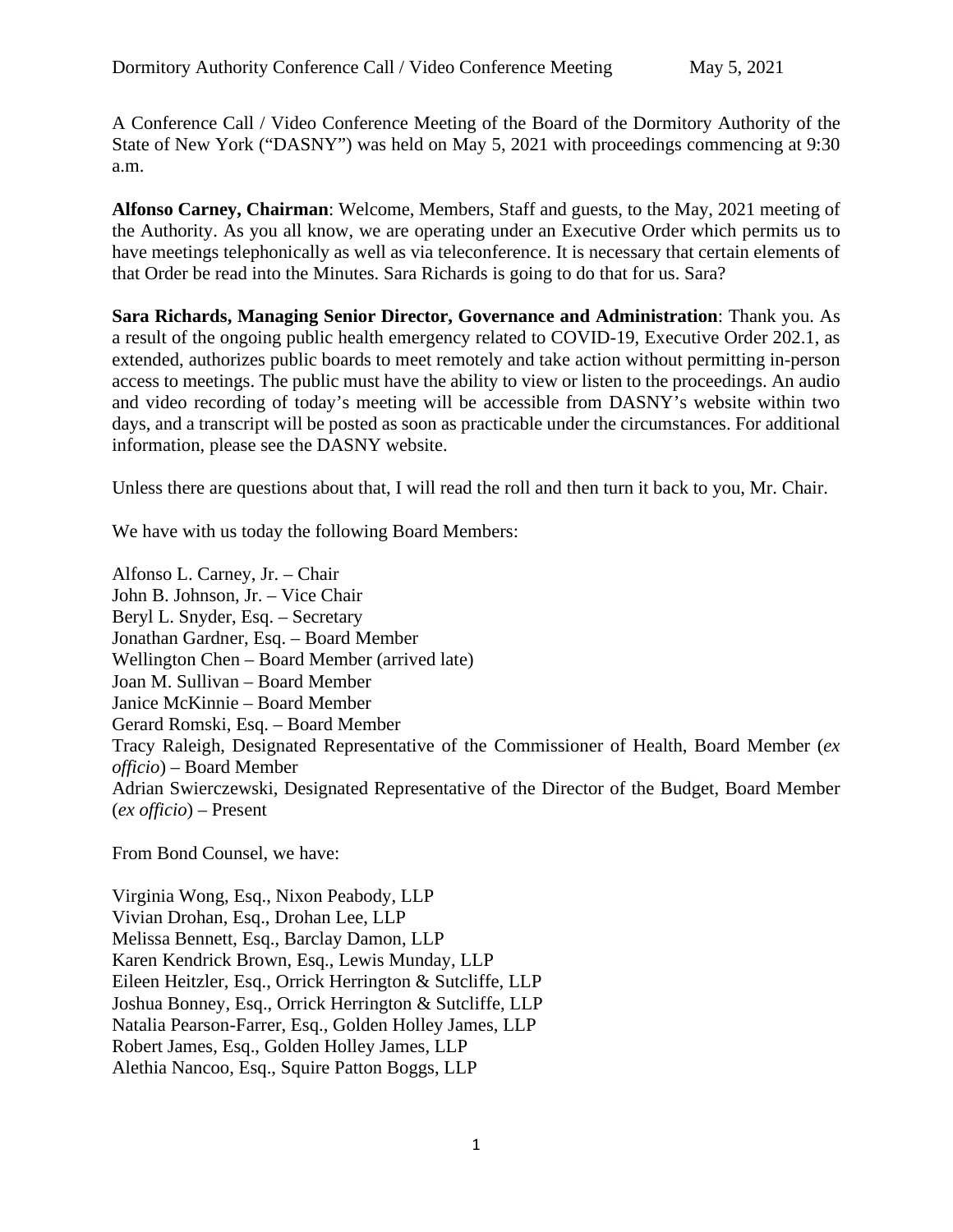A Conference Call / Video Conference Meeting of the Board of the Dormitory Authority of the State of New York ("DASNY") was held on May 5, 2021 with proceedings commencing at 9:30 a.m.

**Alfonso Carney, Chairman**: Welcome, Members, Staff and guests, to the May, 2021 meeting of the Authority. As you all know, we are operating under an Executive Order which permits us to have meetings telephonically as well as via teleconference. It is necessary that certain elements of that Order be read into the Minutes. Sara Richards is going to do that for us. Sara?

**Sara Richards, Managing Senior Director, Governance and Administration**: Thank you. As a result of the ongoing public health emergency related to COVID-19, Executive Order 202.1, as extended, authorizes public boards to meet remotely and take action without permitting in-person access to meetings. The public must have the ability to view or listen to the proceedings. An audio and video recording of today's meeting will be accessible from DASNY's website within two days, and a transcript will be posted as soon as practicable under the circumstances. For additional information, please see the DASNY website.

Unless there are questions about that, I will read the roll and then turn it back to you, Mr. Chair.

We have with us today the following Board Members:

Alfonso L. Carney, Jr. – Chair John B. Johnson, Jr. – Vice Chair Beryl L. Snyder, Esq. – Secretary Jonathan Gardner, Esq. – Board Member Wellington Chen – Board Member (arrived late) Joan M. Sullivan – Board Member Janice McKinnie – Board Member Gerard Romski, Esq. – Board Member Tracy Raleigh, Designated Representative of the Commissioner of Health, Board Member (*ex officio*) – Board Member Adrian Swierczewski, Designated Representative of the Director of the Budget, Board Member (*ex officio*) – Present

From Bond Counsel, we have:

Virginia Wong, Esq., Nixon Peabody, LLP Vivian Drohan, Esq., Drohan Lee, LLP Melissa Bennett, Esq., Barclay Damon, LLP Karen Kendrick Brown, Esq., Lewis Munday, LLP Eileen Heitzler, Esq., Orrick Herrington & Sutcliffe, LLP Joshua Bonney, Esq., Orrick Herrington & Sutcliffe, LLP Natalia Pearson-Farrer, Esq., Golden Holley James, LLP Robert James, Esq., Golden Holley James, LLP Alethia Nancoo, Esq., Squire Patton Boggs, LLP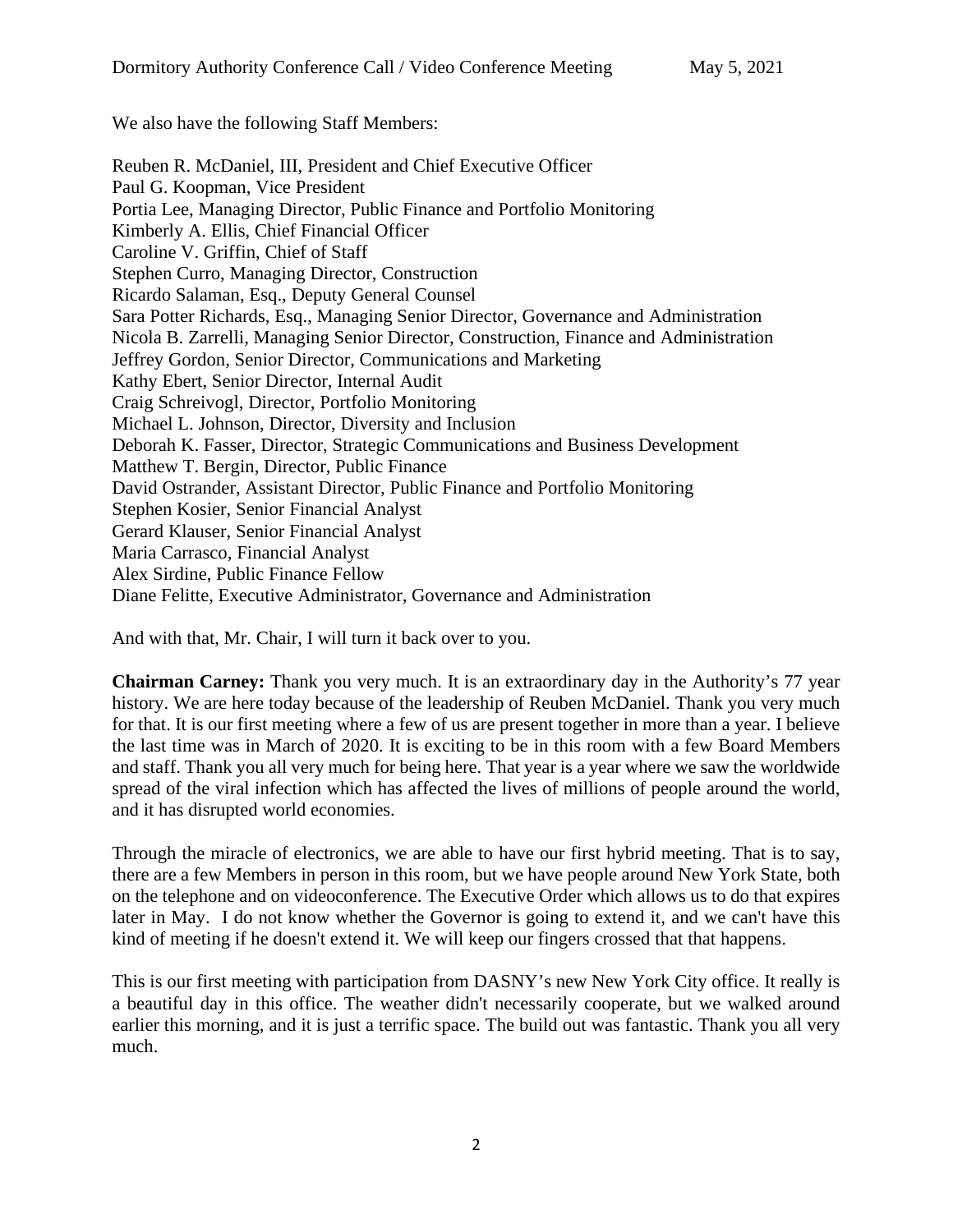We also have the following Staff Members:

Reuben R. McDaniel, III, President and Chief Executive Officer Paul G. Koopman, Vice President Portia Lee, Managing Director, Public Finance and Portfolio Monitoring Kimberly A. Ellis, Chief Financial Officer Caroline V. Griffin, Chief of Staff Stephen Curro, Managing Director, Construction Ricardo Salaman, Esq., Deputy General Counsel Sara Potter Richards, Esq., Managing Senior Director, Governance and Administration Nicola B. Zarrelli, Managing Senior Director, Construction, Finance and Administration Jeffrey Gordon, Senior Director, Communications and Marketing Kathy Ebert, Senior Director, Internal Audit Craig Schreivogl, Director, Portfolio Monitoring Michael L. Johnson, Director, Diversity and Inclusion Deborah K. Fasser, Director, Strategic Communications and Business Development Matthew T. Bergin, Director, Public Finance David Ostrander, Assistant Director, Public Finance and Portfolio Monitoring Stephen Kosier, Senior Financial Analyst Gerard Klauser, Senior Financial Analyst Maria Carrasco, Financial Analyst Alex Sirdine, Public Finance Fellow Diane Felitte, Executive Administrator, Governance and Administration

And with that, Mr. Chair, I will turn it back over to you.

**Chairman Carney:** Thank you very much. It is an extraordinary day in the Authority's 77 year history. We are here today because of the leadership of Reuben McDaniel. Thank you very much for that. It is our first meeting where a few of us are present together in more than a year. I believe the last time was in March of 2020. It is exciting to be in this room with a few Board Members and staff. Thank you all very much for being here. That year is a year where we saw the worldwide spread of the viral infection which has affected the lives of millions of people around the world, and it has disrupted world economies.

Through the miracle of electronics, we are able to have our first hybrid meeting. That is to say, there are a few Members in person in this room, but we have people around New York State, both on the telephone and on videoconference. The Executive Order which allows us to do that expires later in May. I do not know whether the Governor is going to extend it, and we can't have this kind of meeting if he doesn't extend it. We will keep our fingers crossed that that happens.

This is our first meeting with participation from DASNY's new New York City office. It really is a beautiful day in this office. The weather didn't necessarily cooperate, but we walked around earlier this morning, and it is just a terrific space. The build out was fantastic. Thank you all very much.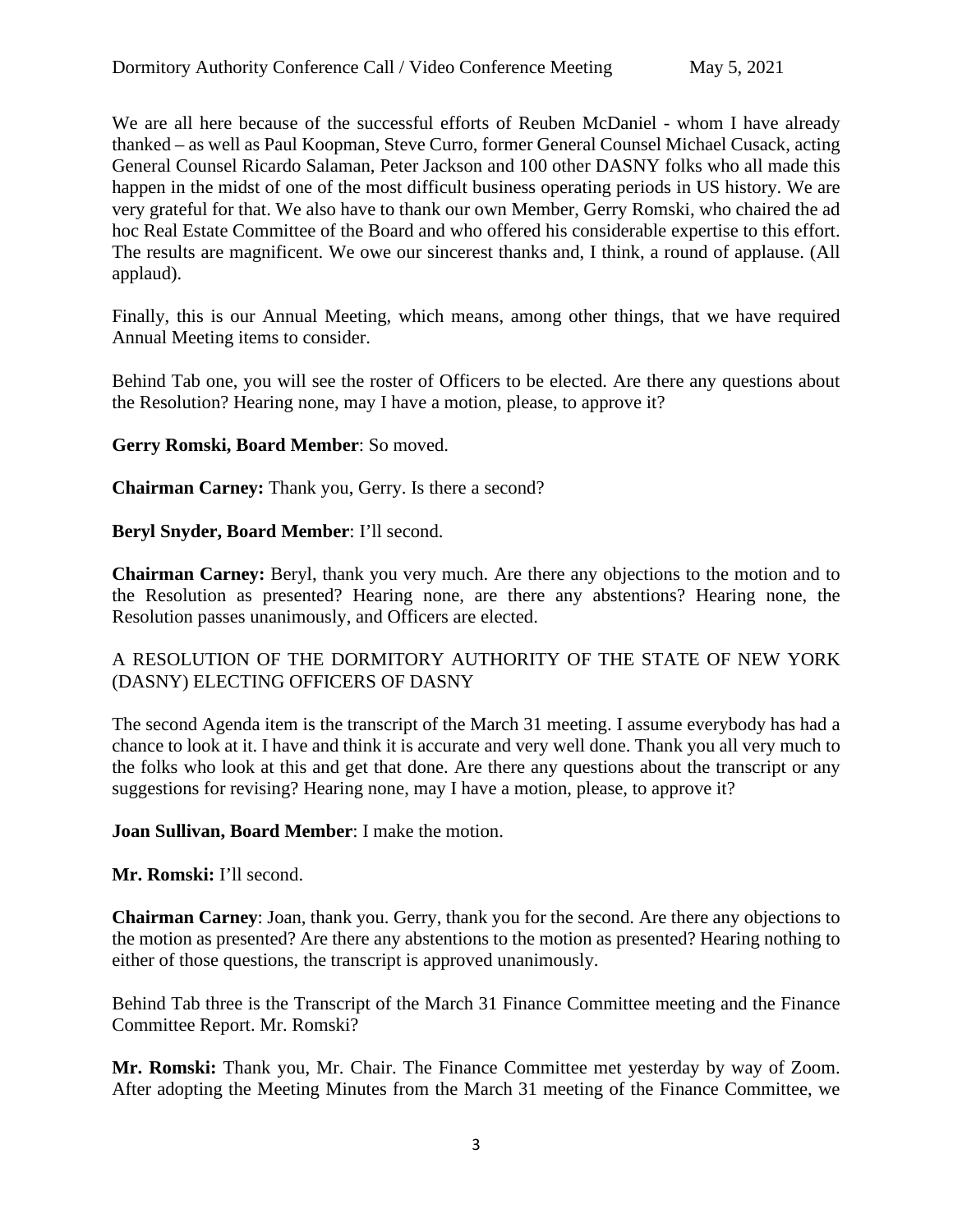We are all here because of the successful efforts of Reuben McDaniel - whom I have already thanked – as well as Paul Koopman, Steve Curro, former General Counsel Michael Cusack, acting General Counsel Ricardo Salaman, Peter Jackson and 100 other DASNY folks who all made this happen in the midst of one of the most difficult business operating periods in US history. We are very grateful for that. We also have to thank our own Member, Gerry Romski, who chaired the ad hoc Real Estate Committee of the Board and who offered his considerable expertise to this effort. The results are magnificent. We owe our sincerest thanks and, I think, a round of applause. (All applaud).

Finally, this is our Annual Meeting, which means, among other things, that we have required Annual Meeting items to consider.

Behind Tab one, you will see the roster of Officers to be elected. Are there any questions about the Resolution? Hearing none, may I have a motion, please, to approve it?

### **Gerry Romski, Board Member**: So moved.

**Chairman Carney:** Thank you, Gerry. Is there a second?

### **Beryl Snyder, Board Member**: I'll second.

**Chairman Carney:** Beryl, thank you very much. Are there any objections to the motion and to the Resolution as presented? Hearing none, are there any abstentions? Hearing none, the Resolution passes unanimously, and Officers are elected.

# A RESOLUTION OF THE DORMITORY AUTHORITY OF THE STATE OF NEW YORK (DASNY) ELECTING OFFICERS OF DASNY

The second Agenda item is the transcript of the March 31 meeting. I assume everybody has had a chance to look at it. I have and think it is accurate and very well done. Thank you all very much to the folks who look at this and get that done. Are there any questions about the transcript or any suggestions for revising? Hearing none, may I have a motion, please, to approve it?

#### **Joan Sullivan, Board Member**: I make the motion.

### **Mr. Romski:** I'll second.

**Chairman Carney**: Joan, thank you. Gerry, thank you for the second. Are there any objections to the motion as presented? Are there any abstentions to the motion as presented? Hearing nothing to either of those questions, the transcript is approved unanimously.

Behind Tab three is the Transcript of the March 31 Finance Committee meeting and the Finance Committee Report. Mr. Romski?

**Mr. Romski:** Thank you, Mr. Chair. The Finance Committee met yesterday by way of Zoom. After adopting the Meeting Minutes from the March 31 meeting of the Finance Committee, we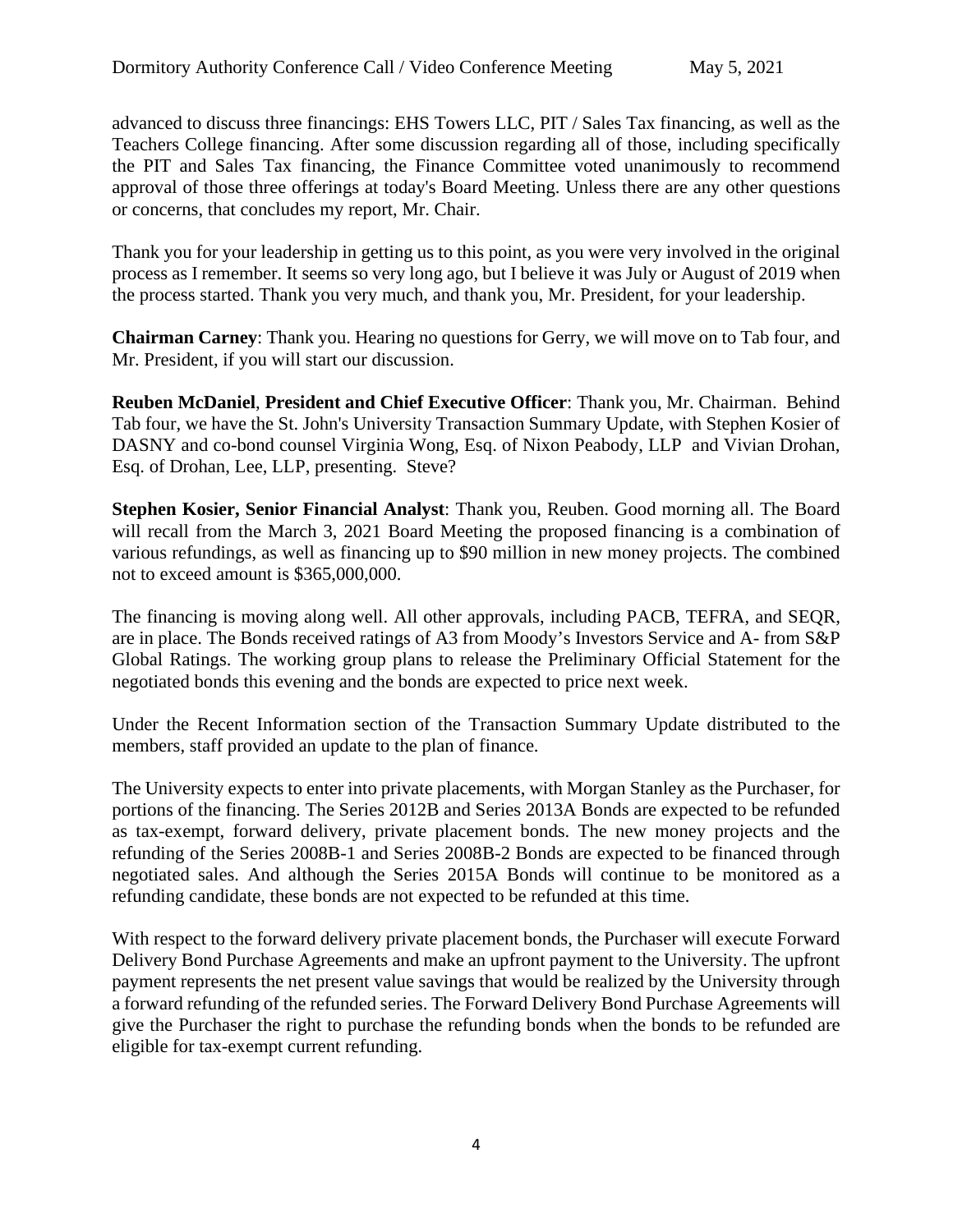advanced to discuss three financings: EHS Towers LLC, PIT / Sales Tax financing, as well as the Teachers College financing. After some discussion regarding all of those, including specifically the PIT and Sales Tax financing, the Finance Committee voted unanimously to recommend approval of those three offerings at today's Board Meeting. Unless there are any other questions or concerns, that concludes my report, Mr. Chair.

Thank you for your leadership in getting us to this point, as you were very involved in the original process as I remember. It seems so very long ago, but I believe it was July or August of 2019 when the process started. Thank you very much, and thank you, Mr. President, for your leadership.

**Chairman Carney**: Thank you. Hearing no questions for Gerry, we will move on to Tab four, and Mr. President, if you will start our discussion.

**Reuben McDaniel**, **President and Chief Executive Officer**: Thank you, Mr. Chairman. Behind Tab four, we have the St. John's University Transaction Summary Update, with Stephen Kosier of DASNY and co-bond counsel Virginia Wong, Esq. of Nixon Peabody, LLP and Vivian Drohan, Esq. of Drohan, Lee, LLP, presenting. Steve?

**Stephen Kosier, Senior Financial Analyst**: Thank you, Reuben. Good morning all. The Board will recall from the March 3, 2021 Board Meeting the proposed financing is a combination of various refundings, as well as financing up to \$90 million in new money projects. The combined not to exceed amount is \$365,000,000.

The financing is moving along well. All other approvals, including PACB, TEFRA, and SEQR, are in place. The Bonds received ratings of A3 from Moody's Investors Service and A- from S&P Global Ratings. The working group plans to release the Preliminary Official Statement for the negotiated bonds this evening and the bonds are expected to price next week.

Under the Recent Information section of the Transaction Summary Update distributed to the members, staff provided an update to the plan of finance.

The University expects to enter into private placements, with Morgan Stanley as the Purchaser, for portions of the financing. The Series 2012B and Series 2013A Bonds are expected to be refunded as tax-exempt, forward delivery, private placement bonds. The new money projects and the refunding of the Series 2008B-1 and Series 2008B-2 Bonds are expected to be financed through negotiated sales. And although the Series 2015A Bonds will continue to be monitored as a refunding candidate, these bonds are not expected to be refunded at this time.

With respect to the forward delivery private placement bonds, the Purchaser will execute Forward Delivery Bond Purchase Agreements and make an upfront payment to the University. The upfront payment represents the net present value savings that would be realized by the University through a forward refunding of the refunded series. The Forward Delivery Bond Purchase Agreements will give the Purchaser the right to purchase the refunding bonds when the bonds to be refunded are eligible for tax-exempt current refunding.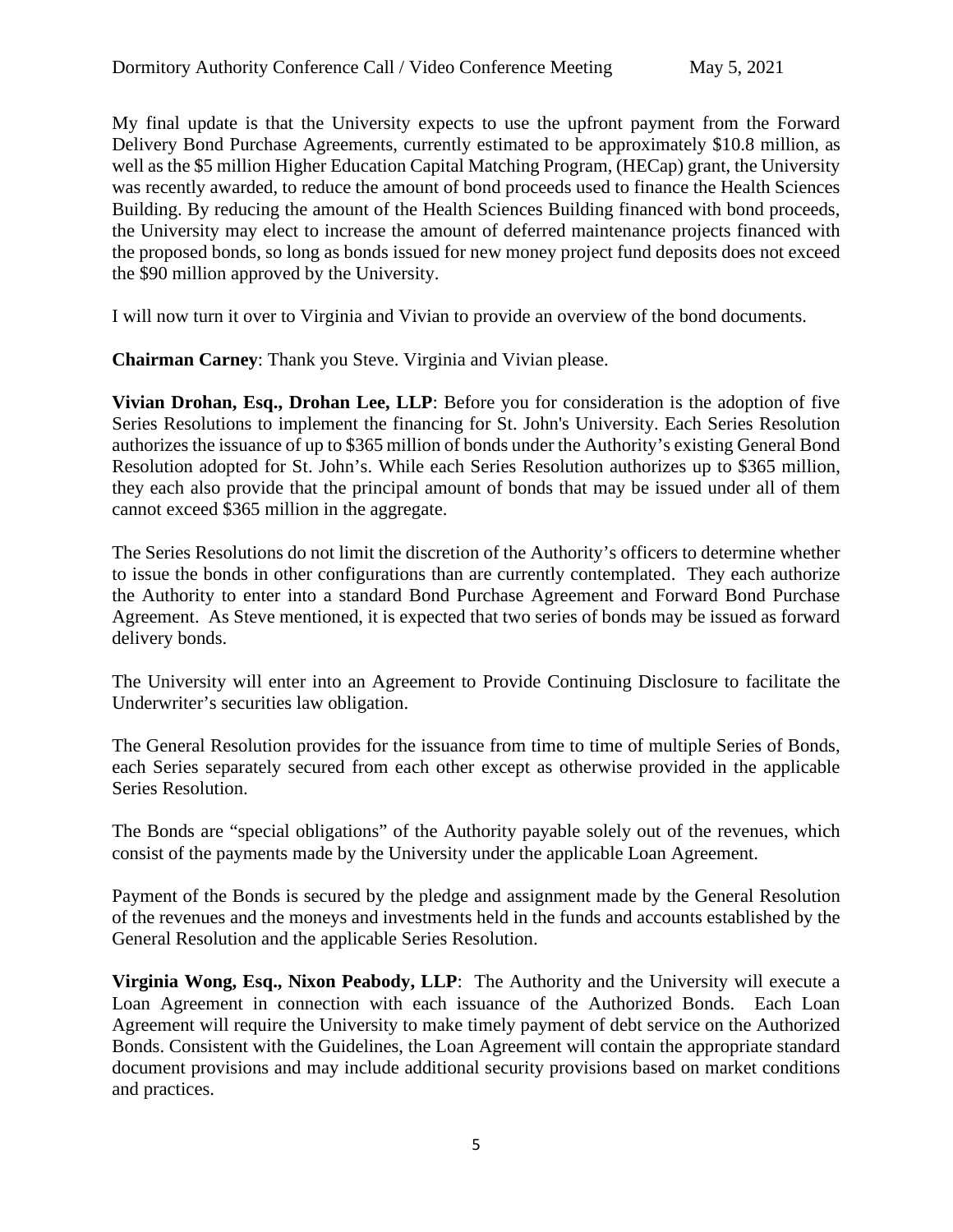My final update is that the University expects to use the upfront payment from the Forward Delivery Bond Purchase Agreements, currently estimated to be approximately \$10.8 million, as well as the \$5 million Higher Education Capital Matching Program, (HECap) grant, the University was recently awarded, to reduce the amount of bond proceeds used to finance the Health Sciences Building. By reducing the amount of the Health Sciences Building financed with bond proceeds, the University may elect to increase the amount of deferred maintenance projects financed with the proposed bonds, so long as bonds issued for new money project fund deposits does not exceed the \$90 million approved by the University.

I will now turn it over to Virginia and Vivian to provide an overview of the bond documents.

**Chairman Carney**: Thank you Steve. Virginia and Vivian please.

**Vivian Drohan, Esq., Drohan Lee, LLP**: Before you for consideration is the adoption of five Series Resolutions to implement the financing for St. John's University. Each Series Resolution authorizes the issuance of up to \$365 million of bonds under the Authority's existing General Bond Resolution adopted for St. John's. While each Series Resolution authorizes up to \$365 million, they each also provide that the principal amount of bonds that may be issued under all of them cannot exceed \$365 million in the aggregate.

The Series Resolutions do not limit the discretion of the Authority's officers to determine whether to issue the bonds in other configurations than are currently contemplated. They each authorize the Authority to enter into a standard Bond Purchase Agreement and Forward Bond Purchase Agreement. As Steve mentioned, it is expected that two series of bonds may be issued as forward delivery bonds.

The University will enter into an Agreement to Provide Continuing Disclosure to facilitate the Underwriter's securities law obligation.

The General Resolution provides for the issuance from time to time of multiple Series of Bonds, each Series separately secured from each other except as otherwise provided in the applicable Series Resolution.

The Bonds are "special obligations" of the Authority payable solely out of the revenues, which consist of the payments made by the University under the applicable Loan Agreement.

Payment of the Bonds is secured by the pledge and assignment made by the General Resolution of the revenues and the moneys and investments held in the funds and accounts established by the General Resolution and the applicable Series Resolution.

**Virginia Wong, Esq., Nixon Peabody, LLP**: The Authority and the University will execute a Loan Agreement in connection with each issuance of the Authorized Bonds. Each Loan Agreement will require the University to make timely payment of debt service on the Authorized Bonds. Consistent with the Guidelines, the Loan Agreement will contain the appropriate standard document provisions and may include additional security provisions based on market conditions and practices.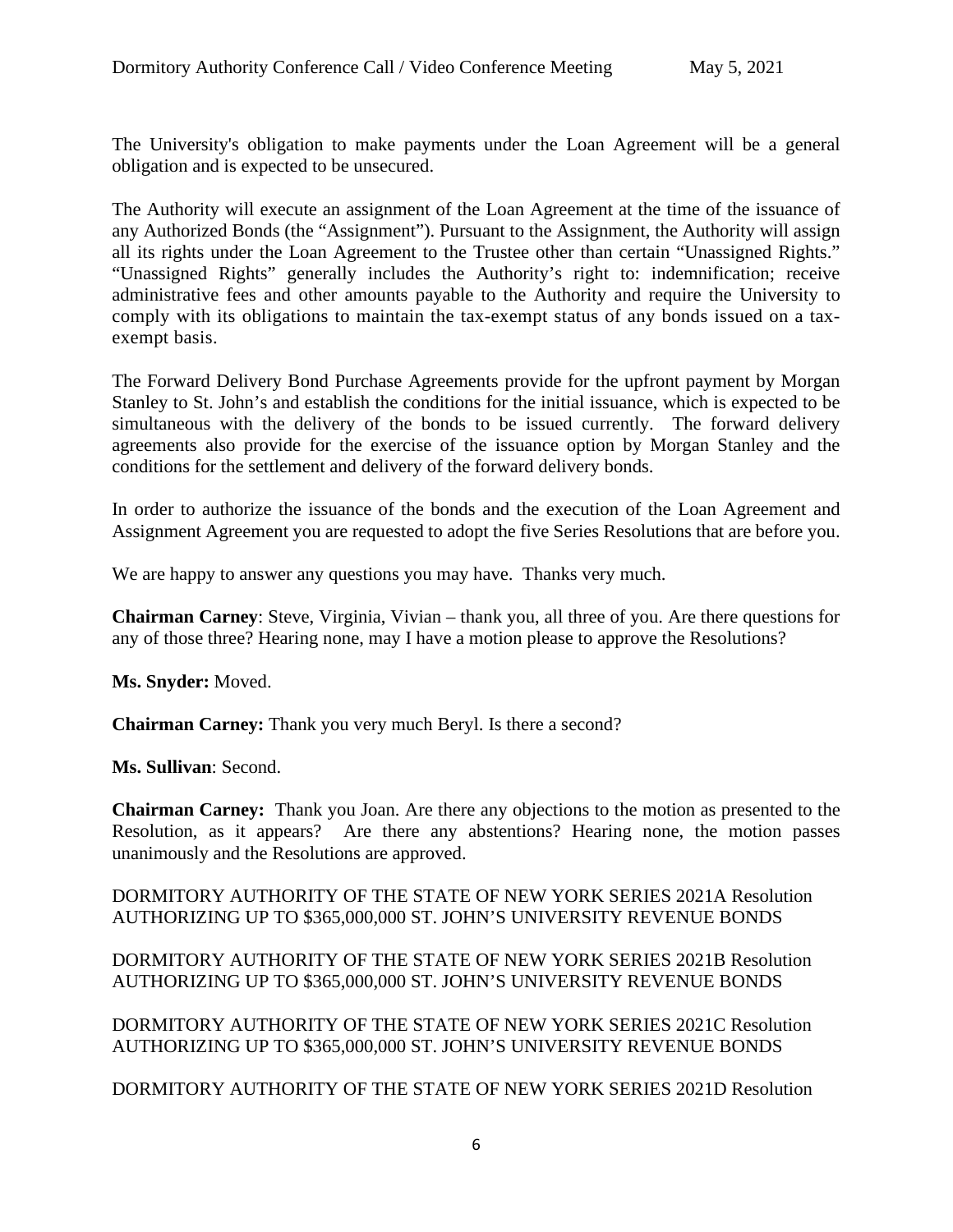The University's obligation to make payments under the Loan Agreement will be a general obligation and is expected to be unsecured.

The Authority will execute an assignment of the Loan Agreement at the time of the issuance of any Authorized Bonds (the "Assignment"). Pursuant to the Assignment, the Authority will assign all its rights under the Loan Agreement to the Trustee other than certain "Unassigned Rights." "Unassigned Rights" generally includes the Authority's right to: indemnification; receive administrative fees and other amounts payable to the Authority and require the University to comply with its obligations to maintain the tax-exempt status of any bonds issued on a taxexempt basis.

The Forward Delivery Bond Purchase Agreements provide for the upfront payment by Morgan Stanley to St. John's and establish the conditions for the initial issuance, which is expected to be simultaneous with the delivery of the bonds to be issued currently. The forward delivery agreements also provide for the exercise of the issuance option by Morgan Stanley and the conditions for the settlement and delivery of the forward delivery bonds.

In order to authorize the issuance of the bonds and the execution of the Loan Agreement and Assignment Agreement you are requested to adopt the five Series Resolutions that are before you.

We are happy to answer any questions you may have. Thanks very much.

**Chairman Carney**: Steve, Virginia, Vivian – thank you, all three of you. Are there questions for any of those three? Hearing none, may I have a motion please to approve the Resolutions?

**Ms. Snyder:** Moved.

**Chairman Carney:** Thank you very much Beryl. Is there a second?

**Ms. Sullivan**: Second.

**Chairman Carney:** Thank you Joan. Are there any objections to the motion as presented to the Resolution, as it appears? Are there any abstentions? Hearing none, the motion passes unanimously and the Resolutions are approved.

DORMITORY AUTHORITY OF THE STATE OF NEW YORK SERIES 2021A Resolution AUTHORIZING UP TO \$365,000,000 ST. JOHN'S UNIVERSITY REVENUE BONDS

DORMITORY AUTHORITY OF THE STATE OF NEW YORK SERIES 2021B Resolution AUTHORIZING UP TO \$365,000,000 ST. JOHN'S UNIVERSITY REVENUE BONDS

DORMITORY AUTHORITY OF THE STATE OF NEW YORK SERIES 2021C Resolution AUTHORIZING UP TO \$365,000,000 ST. JOHN'S UNIVERSITY REVENUE BONDS

DORMITORY AUTHORITY OF THE STATE OF NEW YORK SERIES 2021D Resolution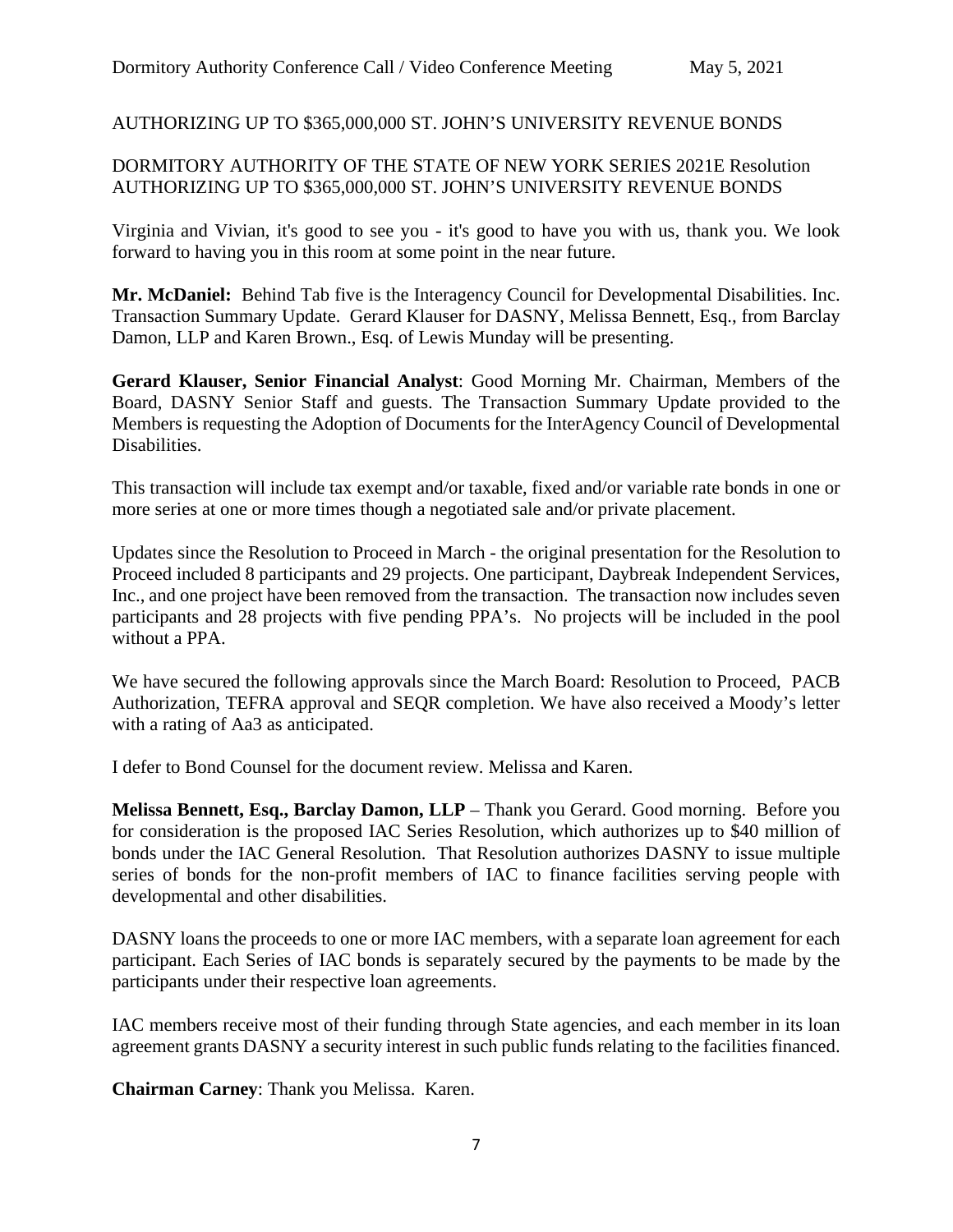# AUTHORIZING UP TO \$365,000,000 ST. JOHN'S UNIVERSITY REVENUE BONDS

# DORMITORY AUTHORITY OF THE STATE OF NEW YORK SERIES 2021E Resolution AUTHORIZING UP TO \$365,000,000 ST. JOHN'S UNIVERSITY REVENUE BONDS

Virginia and Vivian, it's good to see you - it's good to have you with us, thank you. We look forward to having you in this room at some point in the near future.

**Mr. McDaniel:** Behind Tab five is the Interagency Council for Developmental Disabilities. Inc. Transaction Summary Update. Gerard Klauser for DASNY, Melissa Bennett, Esq., from Barclay Damon, LLP and Karen Brown., Esq. of Lewis Munday will be presenting.

**Gerard Klauser, Senior Financial Analyst**: Good Morning Mr. Chairman, Members of the Board, DASNY Senior Staff and guests. The Transaction Summary Update provided to the Members is requesting the Adoption of Documents for the InterAgency Council of Developmental Disabilities.

This transaction will include tax exempt and/or taxable, fixed and/or variable rate bonds in one or more series at one or more times though a negotiated sale and/or private placement.

Updates since the Resolution to Proceed in March - the original presentation for the Resolution to Proceed included 8 participants and 29 projects. One participant, Daybreak Independent Services, Inc., and one project have been removed from the transaction. The transaction now includes seven participants and 28 projects with five pending PPA's. No projects will be included in the pool without a PPA.

We have secured the following approvals since the March Board: Resolution to Proceed, PACB Authorization, TEFRA approval and SEQR completion. We have also received a Moody's letter with a rating of Aa3 as anticipated.

I defer to Bond Counsel for the document review. Melissa and Karen.

**Melissa Bennett, Esq., Barclay Damon, LLP** – Thank you Gerard. Good morning. Before you for consideration is the proposed IAC Series Resolution, which authorizes up to \$40 million of bonds under the IAC General Resolution. That Resolution authorizes DASNY to issue multiple series of bonds for the non-profit members of IAC to finance facilities serving people with developmental and other disabilities.

DASNY loans the proceeds to one or more IAC members, with a separate loan agreement for each participant. Each Series of IAC bonds is separately secured by the payments to be made by the participants under their respective loan agreements.

IAC members receive most of their funding through State agencies, and each member in its loan agreement grants DASNY a security interest in such public funds relating to the facilities financed.

**Chairman Carney**: Thank you Melissa. Karen.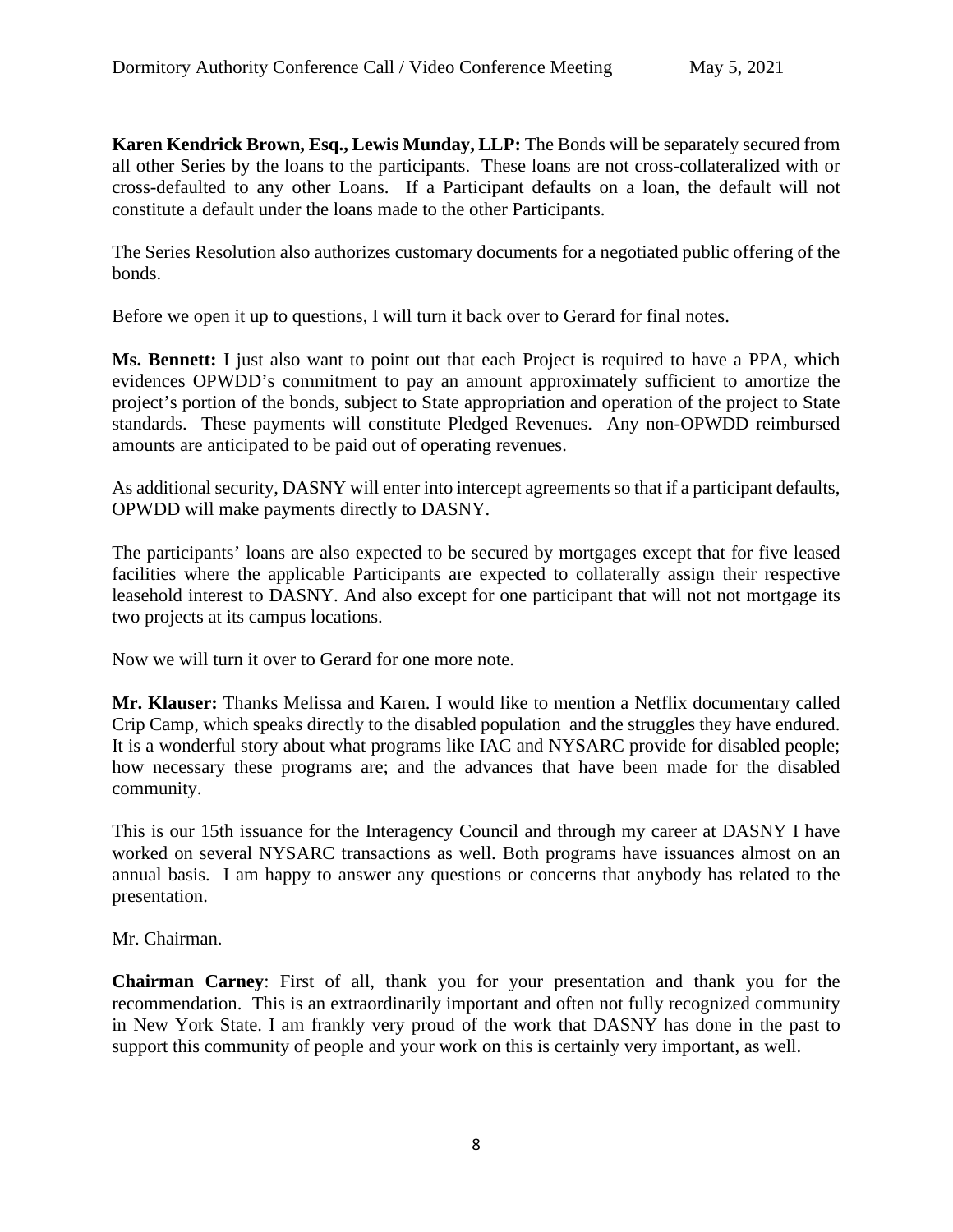**Karen Kendrick Brown, Esq., Lewis Munday, LLP:** The Bonds will be separately secured from all other Series by the loans to the participants. These loans are not cross-collateralized with or cross-defaulted to any other Loans. If a Participant defaults on a loan, the default will not constitute a default under the loans made to the other Participants.

The Series Resolution also authorizes customary documents for a negotiated public offering of the bonds.

Before we open it up to questions, I will turn it back over to Gerard for final notes.

**Ms. Bennett:** I just also want to point out that each Project is required to have a PPA, which evidences OPWDD's commitment to pay an amount approximately sufficient to amortize the project's portion of the bonds, subject to State appropriation and operation of the project to State standards. These payments will constitute Pledged Revenues. Any non-OPWDD reimbursed amounts are anticipated to be paid out of operating revenues.

As additional security, DASNY will enter into intercept agreements so that if a participant defaults, OPWDD will make payments directly to DASNY.

The participants' loans are also expected to be secured by mortgages except that for five leased facilities where the applicable Participants are expected to collaterally assign their respective leasehold interest to DASNY. And also except for one participant that will not not mortgage its two projects at its campus locations.

Now we will turn it over to Gerard for one more note.

**Mr. Klauser:** Thanks Melissa and Karen. I would like to mention a Netflix documentary called Crip Camp, which speaks directly to the disabled population and the struggles they have endured. It is a wonderful story about what programs like IAC and NYSARC provide for disabled people; how necessary these programs are; and the advances that have been made for the disabled community.

This is our 15th issuance for the Interagency Council and through my career at DASNY I have worked on several NYSARC transactions as well. Both programs have issuances almost on an annual basis. I am happy to answer any questions or concerns that anybody has related to the presentation.

Mr. Chairman.

**Chairman Carney**: First of all, thank you for your presentation and thank you for the recommendation. This is an extraordinarily important and often not fully recognized community in New York State. I am frankly very proud of the work that DASNY has done in the past to support this community of people and your work on this is certainly very important, as well.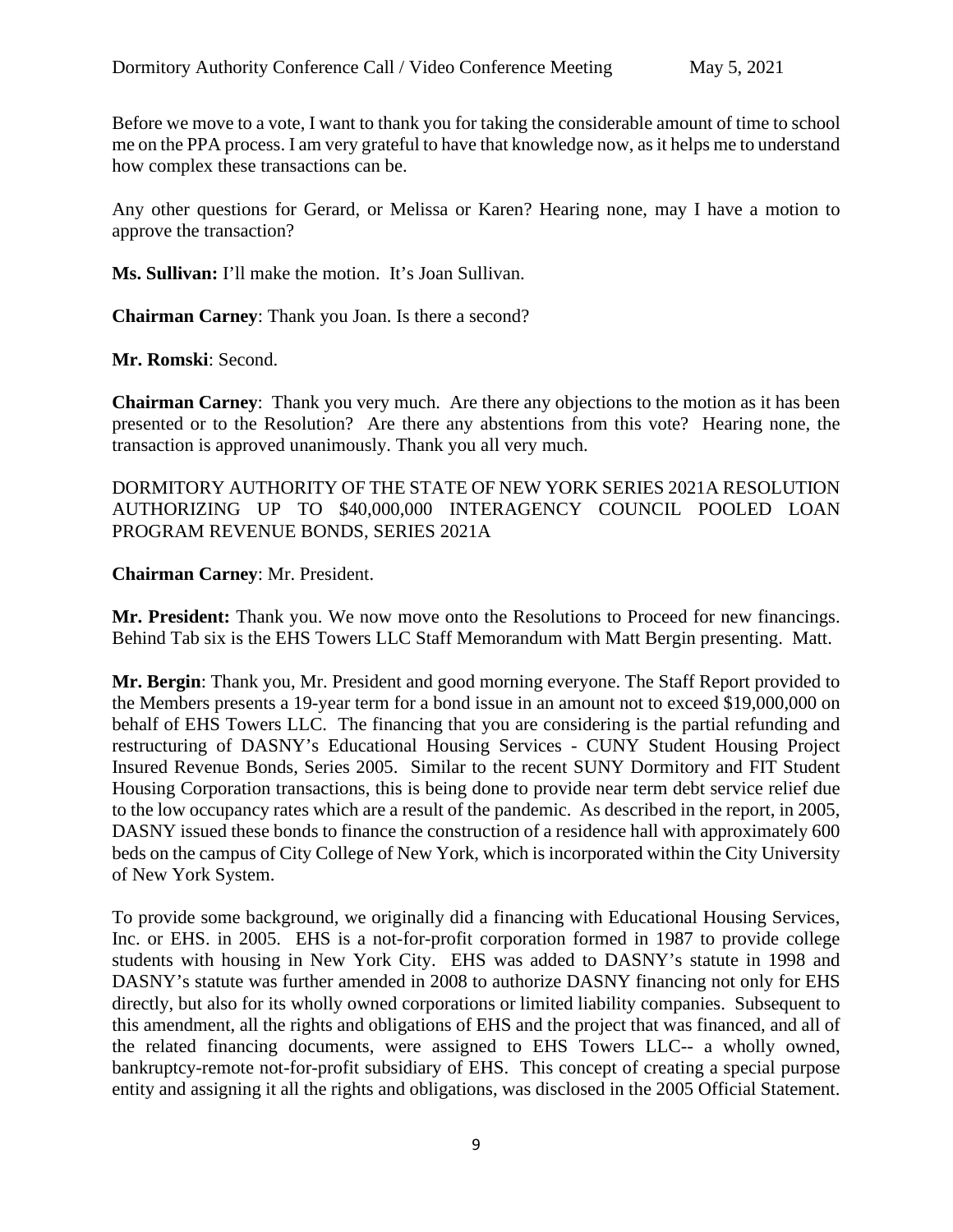Before we move to a vote, I want to thank you for taking the considerable amount of time to school me on the PPA process. I am very grateful to have that knowledge now, as it helps me to understand how complex these transactions can be.

Any other questions for Gerard, or Melissa or Karen? Hearing none, may I have a motion to approve the transaction?

**Ms. Sullivan:** I'll make the motion. It's Joan Sullivan.

**Chairman Carney**: Thank you Joan. Is there a second?

**Mr. Romski**: Second.

**Chairman Carney**: Thank you very much. Are there any objections to the motion as it has been presented or to the Resolution? Are there any abstentions from this vote? Hearing none, the transaction is approved unanimously. Thank you all very much.

DORMITORY AUTHORITY OF THE STATE OF NEW YORK SERIES 2021A RESOLUTION AUTHORIZING UP TO \$40,000,000 INTERAGENCY COUNCIL POOLED LOAN PROGRAM REVENUE BONDS, SERIES 2021A

**Chairman Carney**: Mr. President.

**Mr. President:** Thank you. We now move onto the Resolutions to Proceed for new financings. Behind Tab six is the EHS Towers LLC Staff Memorandum with Matt Bergin presenting. Matt.

**Mr. Bergin**: Thank you, Mr. President and good morning everyone. The Staff Report provided to the Members presents a 19-year term for a bond issue in an amount not to exceed \$19,000,000 on behalf of EHS Towers LLC. The financing that you are considering is the partial refunding and restructuring of DASNY's Educational Housing Services - CUNY Student Housing Project Insured Revenue Bonds, Series 2005. Similar to the recent SUNY Dormitory and FIT Student Housing Corporation transactions, this is being done to provide near term debt service relief due to the low occupancy rates which are a result of the pandemic. As described in the report, in 2005, DASNY issued these bonds to finance the construction of a residence hall with approximately 600 beds on the campus of City College of New York, which is incorporated within the City University of New York System.

To provide some background, we originally did a financing with Educational Housing Services, Inc. or EHS. in 2005. EHS is a not-for-profit corporation formed in 1987 to provide college students with housing in New York City. EHS was added to DASNY's statute in 1998 and DASNY's statute was further amended in 2008 to authorize DASNY financing not only for EHS directly, but also for its wholly owned corporations or limited liability companies. Subsequent to this amendment, all the rights and obligations of EHS and the project that was financed, and all of the related financing documents, were assigned to EHS Towers LLC-- a wholly owned, bankruptcy-remote not-for-profit subsidiary of EHS. This concept of creating a special purpose entity and assigning it all the rights and obligations, was disclosed in the 2005 Official Statement.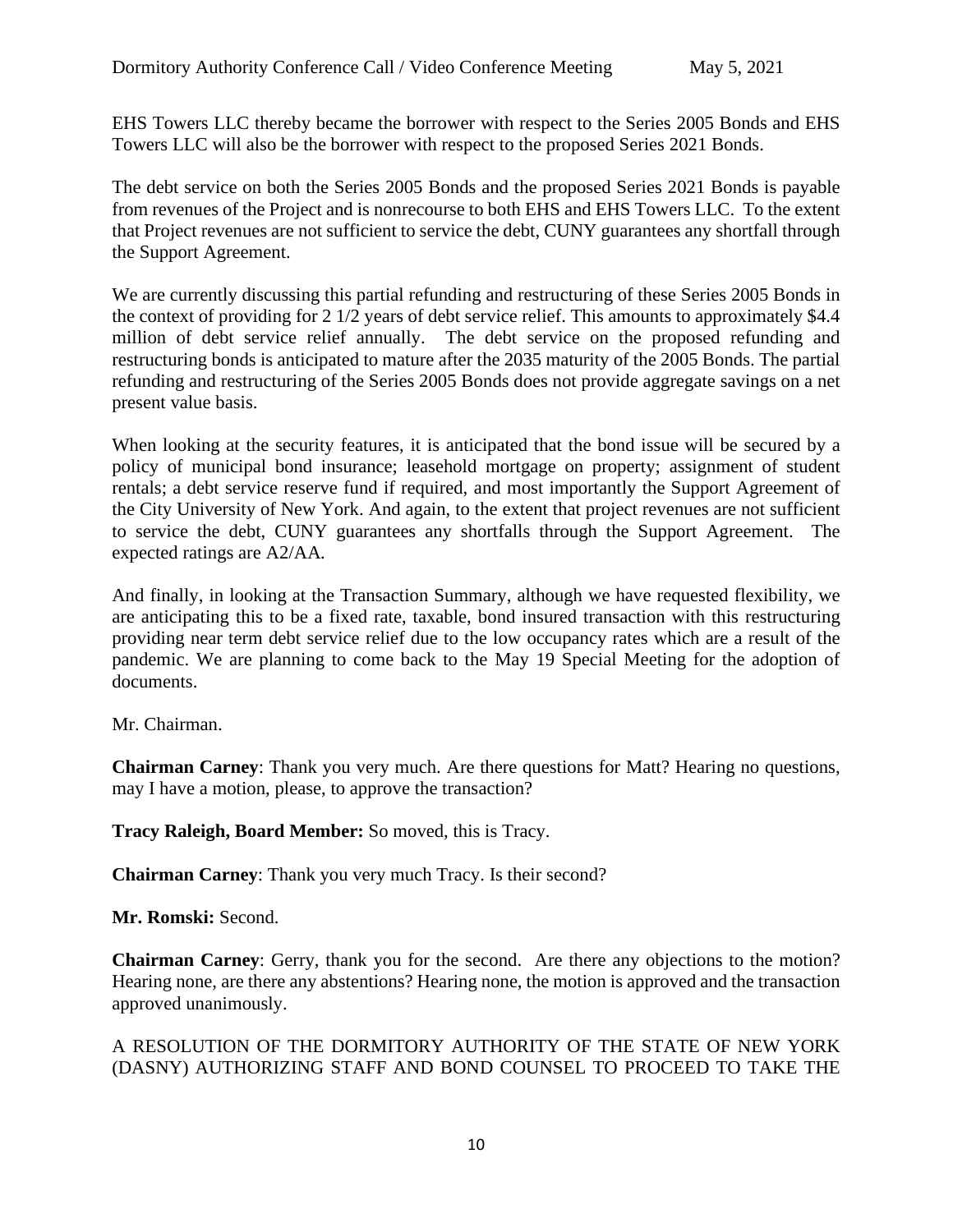EHS Towers LLC thereby became the borrower with respect to the Series 2005 Bonds and EHS Towers LLC will also be the borrower with respect to the proposed Series 2021 Bonds.

The debt service on both the Series 2005 Bonds and the proposed Series 2021 Bonds is payable from revenues of the Project and is nonrecourse to both EHS and EHS Towers LLC. To the extent that Project revenues are not sufficient to service the debt, CUNY guarantees any shortfall through the Support Agreement.

We are currently discussing this partial refunding and restructuring of these Series 2005 Bonds in the context of providing for 2 1/2 years of debt service relief. This amounts to approximately \$4.4 million of debt service relief annually. The debt service on the proposed refunding and restructuring bonds is anticipated to mature after the 2035 maturity of the 2005 Bonds. The partial refunding and restructuring of the Series 2005 Bonds does not provide aggregate savings on a net present value basis.

When looking at the security features, it is anticipated that the bond issue will be secured by a policy of municipal bond insurance; leasehold mortgage on property; assignment of student rentals; a debt service reserve fund if required, and most importantly the Support Agreement of the City University of New York. And again, to the extent that project revenues are not sufficient to service the debt, CUNY guarantees any shortfalls through the Support Agreement. The expected ratings are A2/AA*.*

And finally, in looking at the Transaction Summary, although we have requested flexibility, we are anticipating this to be a fixed rate, taxable, bond insured transaction with this restructuring providing near term debt service relief due to the low occupancy rates which are a result of the pandemic. We are planning to come back to the May 19 Special Meeting for the adoption of documents.

Mr. Chairman.

**Chairman Carney**: Thank you very much. Are there questions for Matt? Hearing no questions, may I have a motion, please, to approve the transaction?

**Tracy Raleigh, Board Member:** So moved, this is Tracy.

**Chairman Carney**: Thank you very much Tracy. Is their second?

**Mr. Romski:** Second.

**Chairman Carney**: Gerry, thank you for the second. Are there any objections to the motion? Hearing none, are there any abstentions? Hearing none, the motion is approved and the transaction approved unanimously.

# A RESOLUTION OF THE DORMITORY AUTHORITY OF THE STATE OF NEW YORK (DASNY) AUTHORIZING STAFF AND BOND COUNSEL TO PROCEED TO TAKE THE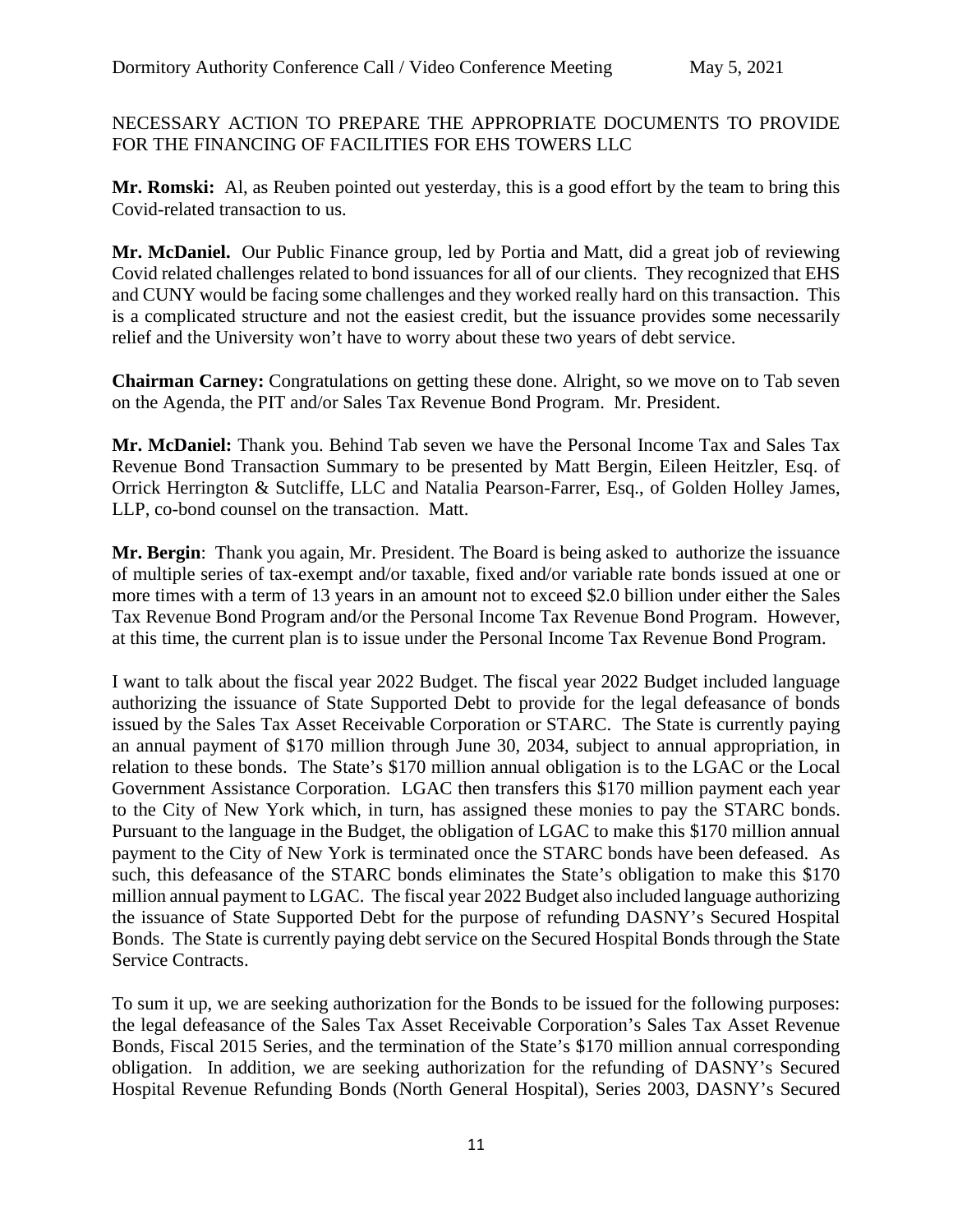NECESSARY ACTION TO PREPARE THE APPROPRIATE DOCUMENTS TO PROVIDE FOR THE FINANCING OF FACILITIES FOR EHS TOWERS LLC

**Mr. Romski:** Al, as Reuben pointed out yesterday, this is a good effort by the team to bring this Covid-related transaction to us.

**Mr. McDaniel.** Our Public Finance group, led by Portia and Matt, did a great job of reviewing Covid related challenges related to bond issuances for all of our clients. They recognized that EHS and CUNY would be facing some challenges and they worked really hard on this transaction. This is a complicated structure and not the easiest credit, but the issuance provides some necessarily relief and the University won't have to worry about these two years of debt service.

**Chairman Carney:** Congratulations on getting these done. Alright, so we move on to Tab seven on the Agenda, the PIT and/or Sales Tax Revenue Bond Program. Mr. President.

**Mr. McDaniel:** Thank you. Behind Tab seven we have the Personal Income Tax and Sales Tax Revenue Bond Transaction Summary to be presented by Matt Bergin, Eileen Heitzler, Esq. of Orrick Herrington & Sutcliffe, LLC and Natalia Pearson-Farrer, Esq., of Golden Holley James, LLP, co-bond counsel on the transaction. Matt.

**Mr. Bergin**: Thank you again, Mr. President. The Board is being asked to authorize the issuance of multiple series of tax-exempt and/or taxable, fixed and/or variable rate bonds issued at one or more times with a term of 13 years in an amount not to exceed \$2.0 billion under either the Sales Tax Revenue Bond Program and/or the Personal Income Tax Revenue Bond Program. However, at this time, the current plan is to issue under the Personal Income Tax Revenue Bond Program.

I want to talk about the fiscal year 2022 Budget. The fiscal year 2022 Budget included language authorizing the issuance of State Supported Debt to provide for the legal defeasance of bonds issued by the Sales Tax Asset Receivable Corporation or STARC. The State is currently paying an annual payment of \$170 million through June 30, 2034, subject to annual appropriation, in relation to these bonds. The State's \$170 million annual obligation is to the LGAC or the Local Government Assistance Corporation. LGAC then transfers this \$170 million payment each year to the City of New York which, in turn, has assigned these monies to pay the STARC bonds. Pursuant to the language in the Budget, the obligation of LGAC to make this \$170 million annual payment to the City of New York is terminated once the STARC bonds have been defeased. As such, this defeasance of the STARC bonds eliminates the State's obligation to make this \$170 million annual payment to LGAC. The fiscal year 2022 Budget also included language authorizing the issuance of State Supported Debt for the purpose of refunding DASNY's Secured Hospital Bonds. The State is currently paying debt service on the Secured Hospital Bonds through the State Service Contracts.

To sum it up, we are seeking authorization for the Bonds to be issued for the following purposes: the legal defeasance of the Sales Tax Asset Receivable Corporation's Sales Tax Asset Revenue Bonds, Fiscal 2015 Series, and the termination of the State's \$170 million annual corresponding obligation. In addition, we are seeking authorization for the refunding of DASNY's Secured Hospital Revenue Refunding Bonds (North General Hospital), Series 2003, DASNY's Secured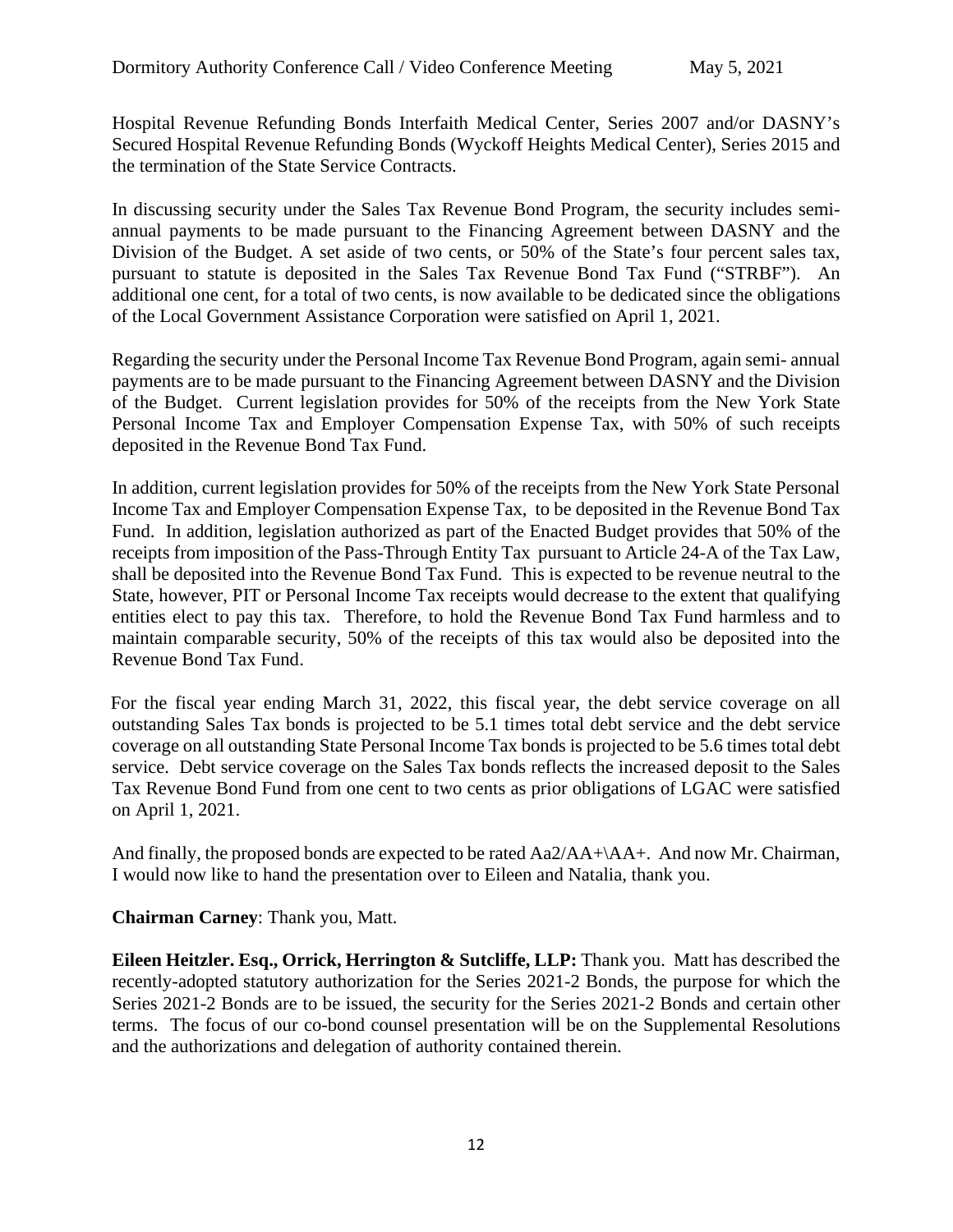Hospital Revenue Refunding Bonds Interfaith Medical Center, Series 2007 and/or DASNY's Secured Hospital Revenue Refunding Bonds (Wyckoff Heights Medical Center), Series 2015 and the termination of the State Service Contracts.

In discussing security under the Sales Tax Revenue Bond Program, the security includes semiannual payments to be made pursuant to the Financing Agreement between DASNY and the Division of the Budget. A set aside of two cents, or 50% of the State's four percent sales tax, pursuant to statute is deposited in the Sales Tax Revenue Bond Tax Fund ("STRBF"). An additional one cent, for a total of two cents, is now available to be dedicated since the obligations of the Local Government Assistance Corporation were satisfied on April 1, 2021.

Regarding the security under the Personal Income Tax Revenue Bond Program, again semi- annual payments are to be made pursuant to the Financing Agreement between DASNY and the Division of the Budget. Current legislation provides for 50% of the receipts from the New York State Personal Income Tax and Employer Compensation Expense Tax, with 50% of such receipts deposited in the Revenue Bond Tax Fund.

In addition, current legislation provides for 50% of the receipts from the New York State Personal Income Tax and Employer Compensation Expense Tax, to be deposited in the Revenue Bond Tax Fund. In addition, legislation authorized as part of the Enacted Budget provides that 50% of the receipts from imposition of the Pass-Through Entity Tax pursuant to Article 24-A of the Tax Law, shall be deposited into the Revenue Bond Tax Fund. This is expected to be revenue neutral to the State, however, PIT or Personal Income Tax receipts would decrease to the extent that qualifying entities elect to pay this tax. Therefore, to hold the Revenue Bond Tax Fund harmless and to maintain comparable security, 50% of the receipts of this tax would also be deposited into the Revenue Bond Tax Fund.

For the fiscal year ending March 31, 2022, this fiscal year, the debt service coverage on all outstanding Sales Tax bonds is projected to be 5.1 times total debt service and the debt service coverage on all outstanding State Personal Income Tax bonds is projected to be 5.6 times total debt service. Debt service coverage on the Sales Tax bonds reflects the increased deposit to the Sales Tax Revenue Bond Fund from one cent to two cents as prior obligations of LGAC were satisfied on April 1, 2021.

And finally, the proposed bonds are expected to be rated  $Aa2/AA+\A A+$ . And now Mr. Chairman, I would now like to hand the presentation over to Eileen and Natalia, thank you.

**Chairman Carney**: Thank you, Matt.

**Eileen Heitzler. Esq., Orrick, Herrington & Sutcliffe, LLP:** Thank you. Matt has described the recently-adopted statutory authorization for the Series 2021-2 Bonds, the purpose for which the Series 2021-2 Bonds are to be issued, the security for the Series 2021-2 Bonds and certain other terms. The focus of our co-bond counsel presentation will be on the Supplemental Resolutions and the authorizations and delegation of authority contained therein.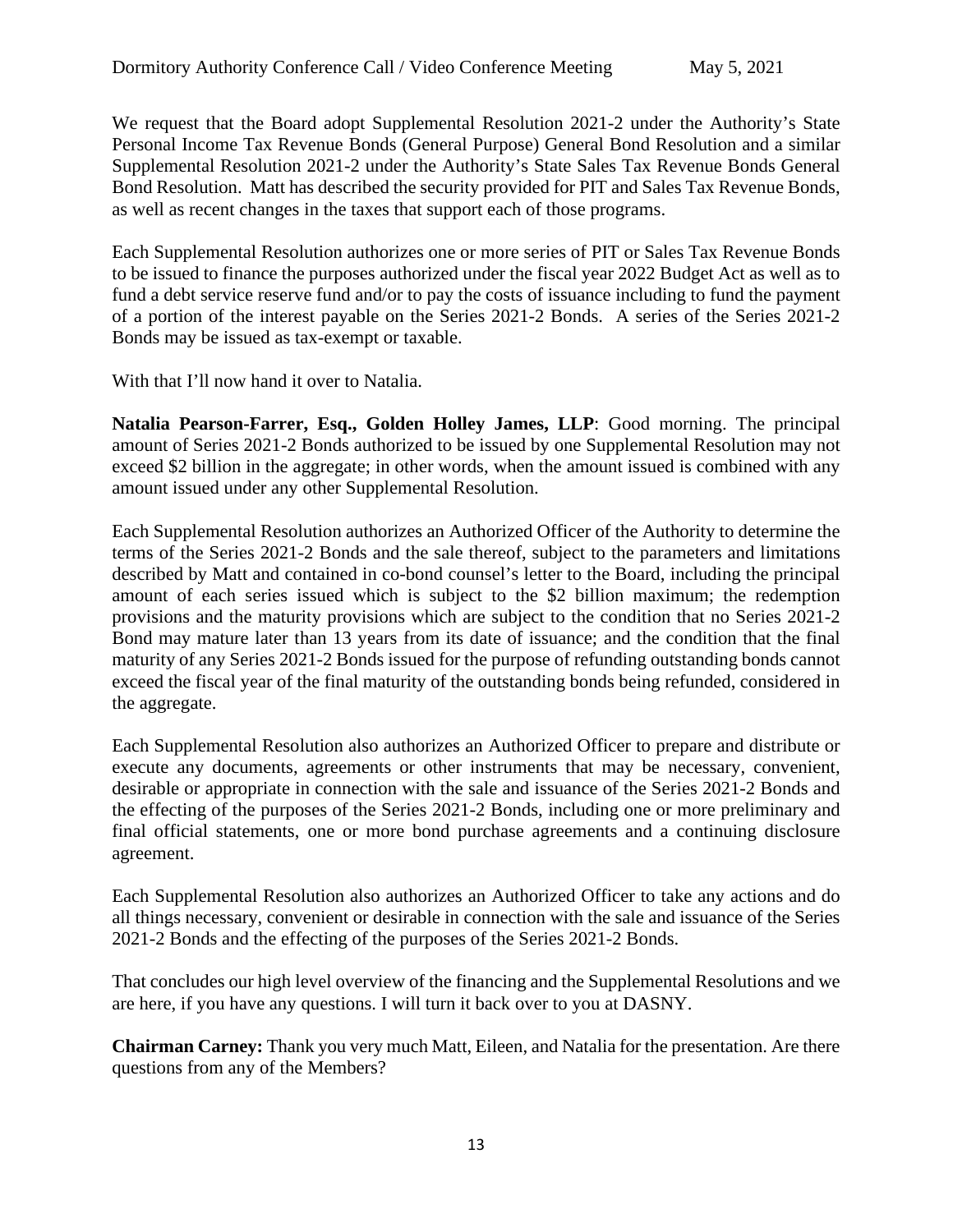We request that the Board adopt Supplemental Resolution 2021-2 under the Authority's State Personal Income Tax Revenue Bonds (General Purpose) General Bond Resolution and a similar Supplemental Resolution 2021-2 under the Authority's State Sales Tax Revenue Bonds General Bond Resolution. Matt has described the security provided for PIT and Sales Tax Revenue Bonds, as well as recent changes in the taxes that support each of those programs.

Each Supplemental Resolution authorizes one or more series of PIT or Sales Tax Revenue Bonds to be issued to finance the purposes authorized under the fiscal year 2022 Budget Act as well as to fund a debt service reserve fund and/or to pay the costs of issuance including to fund the payment of a portion of the interest payable on the Series 2021-2 Bonds. A series of the Series 2021-2 Bonds may be issued as tax-exempt or taxable.

With that I'll now hand it over to Natalia.

**Natalia Pearson-Farrer, Esq., Golden Holley James, LLP**: Good morning. The principal amount of Series 2021-2 Bonds authorized to be issued by one Supplemental Resolution may not exceed \$2 billion in the aggregate; in other words, when the amount issued is combined with any amount issued under any other Supplemental Resolution.

Each Supplemental Resolution authorizes an Authorized Officer of the Authority to determine the terms of the Series 2021-2 Bonds and the sale thereof, subject to the parameters and limitations described by Matt and contained in co-bond counsel's letter to the Board, including the principal amount of each series issued which is subject to the \$2 billion maximum; the redemption provisions and the maturity provisions which are subject to the condition that no Series 2021-2 Bond may mature later than 13 years from its date of issuance; and the condition that the final maturity of any Series 2021-2 Bonds issued for the purpose of refunding outstanding bonds cannot exceed the fiscal year of the final maturity of the outstanding bonds being refunded, considered in the aggregate.

Each Supplemental Resolution also authorizes an Authorized Officer to prepare and distribute or execute any documents, agreements or other instruments that may be necessary, convenient, desirable or appropriate in connection with the sale and issuance of the Series 2021-2 Bonds and the effecting of the purposes of the Series 2021-2 Bonds, including one or more preliminary and final official statements, one or more bond purchase agreements and a continuing disclosure agreement.

Each Supplemental Resolution also authorizes an Authorized Officer to take any actions and do all things necessary, convenient or desirable in connection with the sale and issuance of the Series 2021-2 Bonds and the effecting of the purposes of the Series 2021-2 Bonds.

That concludes our high level overview of the financing and the Supplemental Resolutions and we are here, if you have any questions. I will turn it back over to you at DASNY.

**Chairman Carney:** Thank you very much Matt, Eileen, and Natalia for the presentation. Are there questions from any of the Members?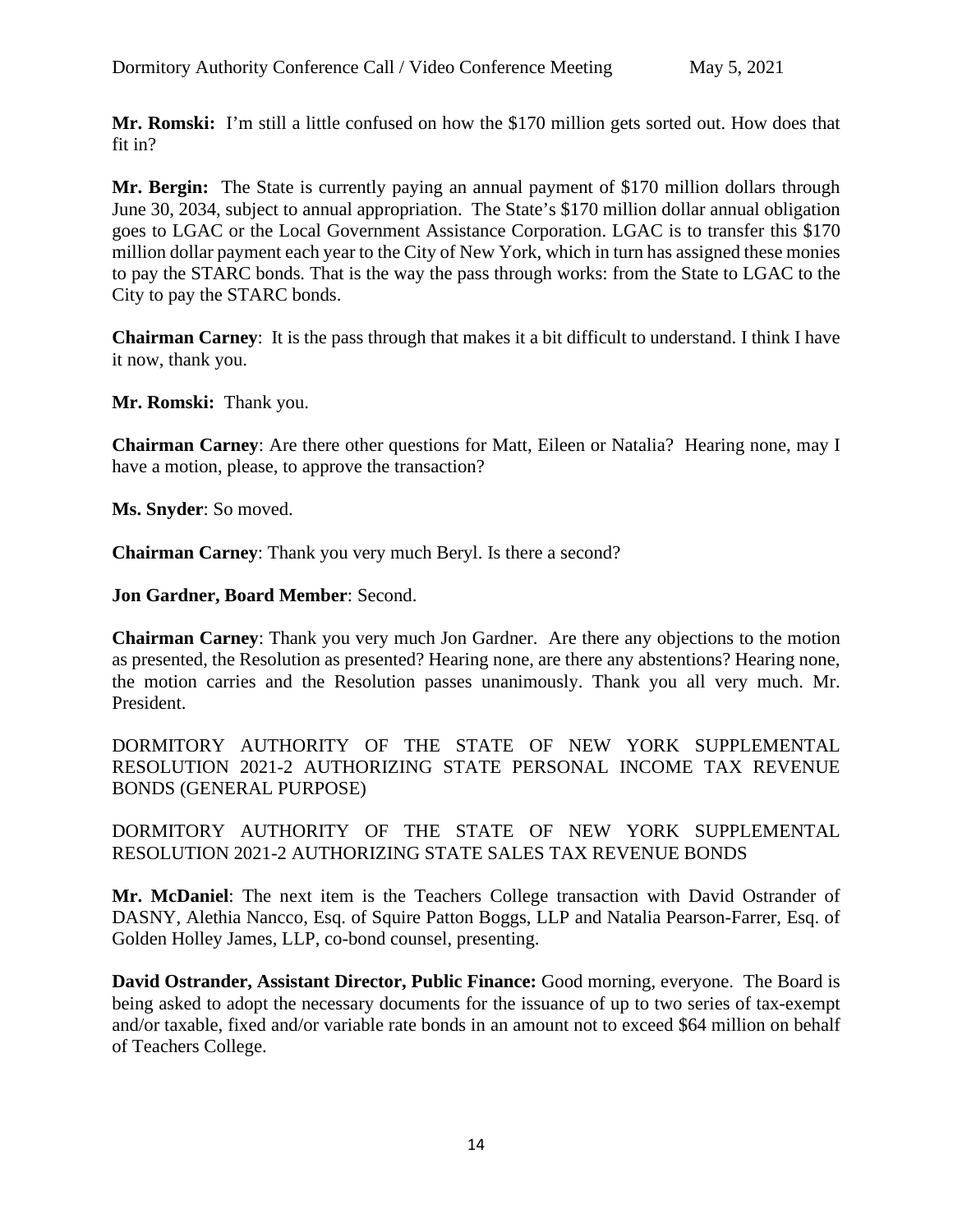**Mr. Romski:** I'm still a little confused on how the \$170 million gets sorted out. How does that fit in?

**Mr. Bergin:** The State is currently paying an annual payment of \$170 million dollars through June 30, 2034, subject to annual appropriation. The State's \$170 million dollar annual obligation goes to LGAC or the Local Government Assistance Corporation. LGAC is to transfer this \$170 million dollar payment each year to the City of New York, which in turn has assigned these monies to pay the STARC bonds. That is the way the pass through works: from the State to LGAC to the City to pay the STARC bonds.

**Chairman Carney**: It is the pass through that makes it a bit difficult to understand. I think I have it now, thank you.

**Mr. Romski:** Thank you.

**Chairman Carney**: Are there other questions for Matt, Eileen or Natalia? Hearing none, may I have a motion, please, to approve the transaction?

**Ms. Snyder**: So moved.

**Chairman Carney**: Thank you very much Beryl. Is there a second?

**Jon Gardner, Board Member**: Second.

**Chairman Carney**: Thank you very much Jon Gardner. Are there any objections to the motion as presented, the Resolution as presented? Hearing none, are there any abstentions? Hearing none, the motion carries and the Resolution passes unanimously. Thank you all very much. Mr. President.

DORMITORY AUTHORITY OF THE STATE OF NEW YORK SUPPLEMENTAL RESOLUTION 2021-2 AUTHORIZING STATE PERSONAL INCOME TAX REVENUE BONDS (GENERAL PURPOSE)

DORMITORY AUTHORITY OF THE STATE OF NEW YORK SUPPLEMENTAL RESOLUTION 2021-2 AUTHORIZING STATE SALES TAX REVENUE BONDS

**Mr. McDaniel**: The next item is the Teachers College transaction with David Ostrander of DASNY, Alethia Nancco, Esq. of Squire Patton Boggs, LLP and Natalia Pearson-Farrer, Esq. of Golden Holley James, LLP, co-bond counsel, presenting.

**David Ostrander, Assistant Director, Public Finance:** Good morning, everyone. The Board is being asked to adopt the necessary documents for the issuance of up to two series of tax-exempt and/or taxable, fixed and/or variable rate bonds in an amount not to exceed \$64 million on behalf of Teachers College.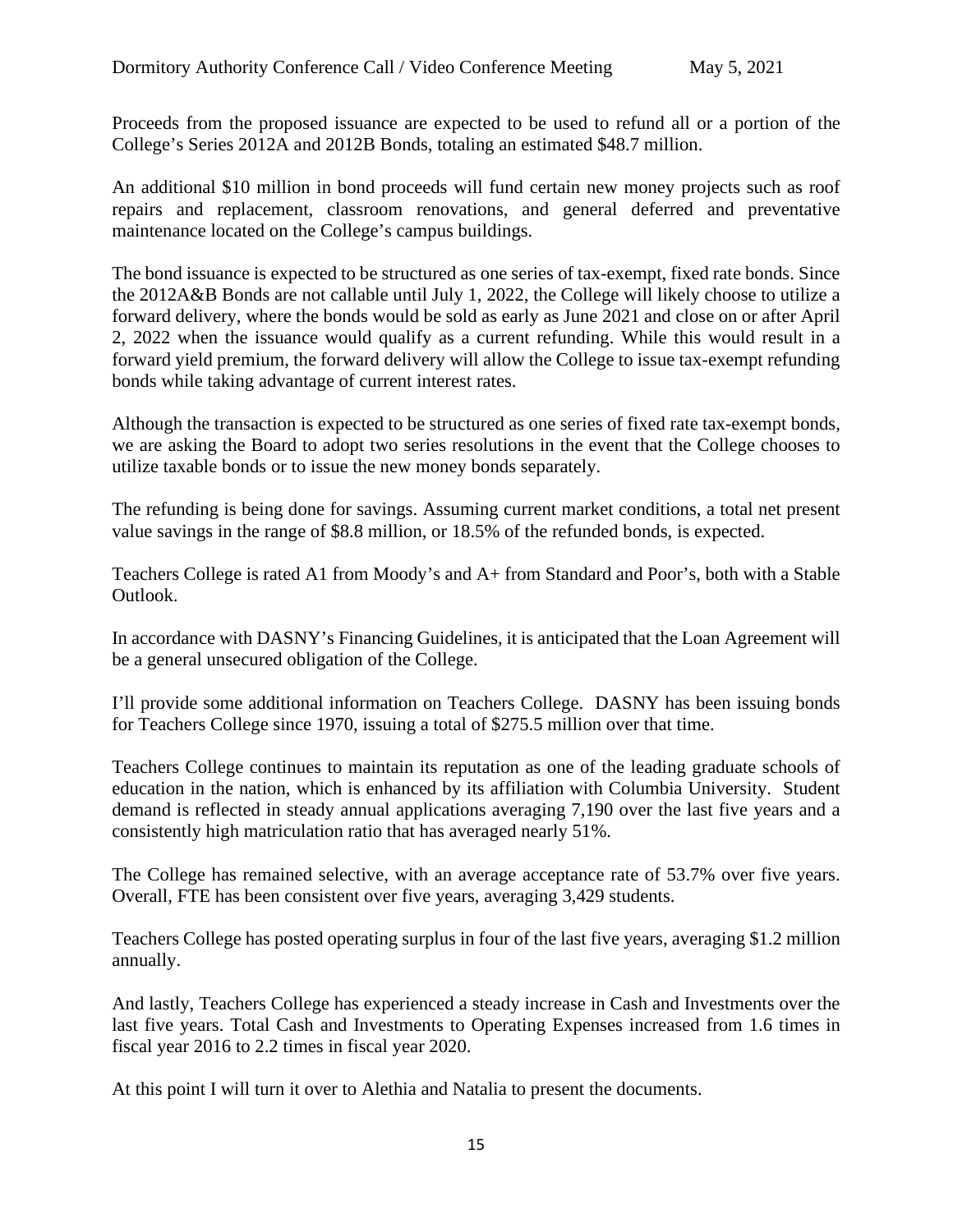Proceeds from the proposed issuance are expected to be used to refund all or a portion of the College's Series 2012A and 2012B Bonds, totaling an estimated \$48.7 million.

An additional \$10 million in bond proceeds will fund certain new money projects such as roof repairs and replacement, classroom renovations, and general deferred and preventative maintenance located on the College's campus buildings.

The bond issuance is expected to be structured as one series of tax-exempt, fixed rate bonds. Since the 2012A&B Bonds are not callable until July 1, 2022, the College will likely choose to utilize a forward delivery, where the bonds would be sold as early as June 2021 and close on or after April 2, 2022 when the issuance would qualify as a current refunding. While this would result in a forward yield premium, the forward delivery will allow the College to issue tax-exempt refunding bonds while taking advantage of current interest rates.

Although the transaction is expected to be structured as one series of fixed rate tax-exempt bonds, we are asking the Board to adopt two series resolutions in the event that the College chooses to utilize taxable bonds or to issue the new money bonds separately.

The refunding is being done for savings. Assuming current market conditions, a total net present value savings in the range of \$8.8 million, or 18.5% of the refunded bonds, is expected.

Teachers College is rated A1 from Moody's and A+ from Standard and Poor's, both with a Stable Outlook.

In accordance with DASNY's Financing Guidelines, it is anticipated that the Loan Agreement will be a general unsecured obligation of the College.

I'll provide some additional information on Teachers College. DASNY has been issuing bonds for Teachers College since 1970, issuing a total of \$275.5 million over that time.

Teachers College continues to maintain its reputation as one of the leading graduate schools of education in the nation, which is enhanced by its affiliation with Columbia University. Student demand is reflected in steady annual applications averaging 7,190 over the last five years and a consistently high matriculation ratio that has averaged nearly 51%.

The College has remained selective, with an average acceptance rate of 53.7% over five years. Overall, FTE has been consistent over five years, averaging 3,429 students.

Teachers College has posted operating surplus in four of the last five years, averaging \$1.2 million annually.

And lastly, Teachers College has experienced a steady increase in Cash and Investments over the last five years. Total Cash and Investments to Operating Expenses increased from 1.6 times in fiscal year 2016 to 2.2 times in fiscal year 2020.

At this point I will turn it over to Alethia and Natalia to present the documents.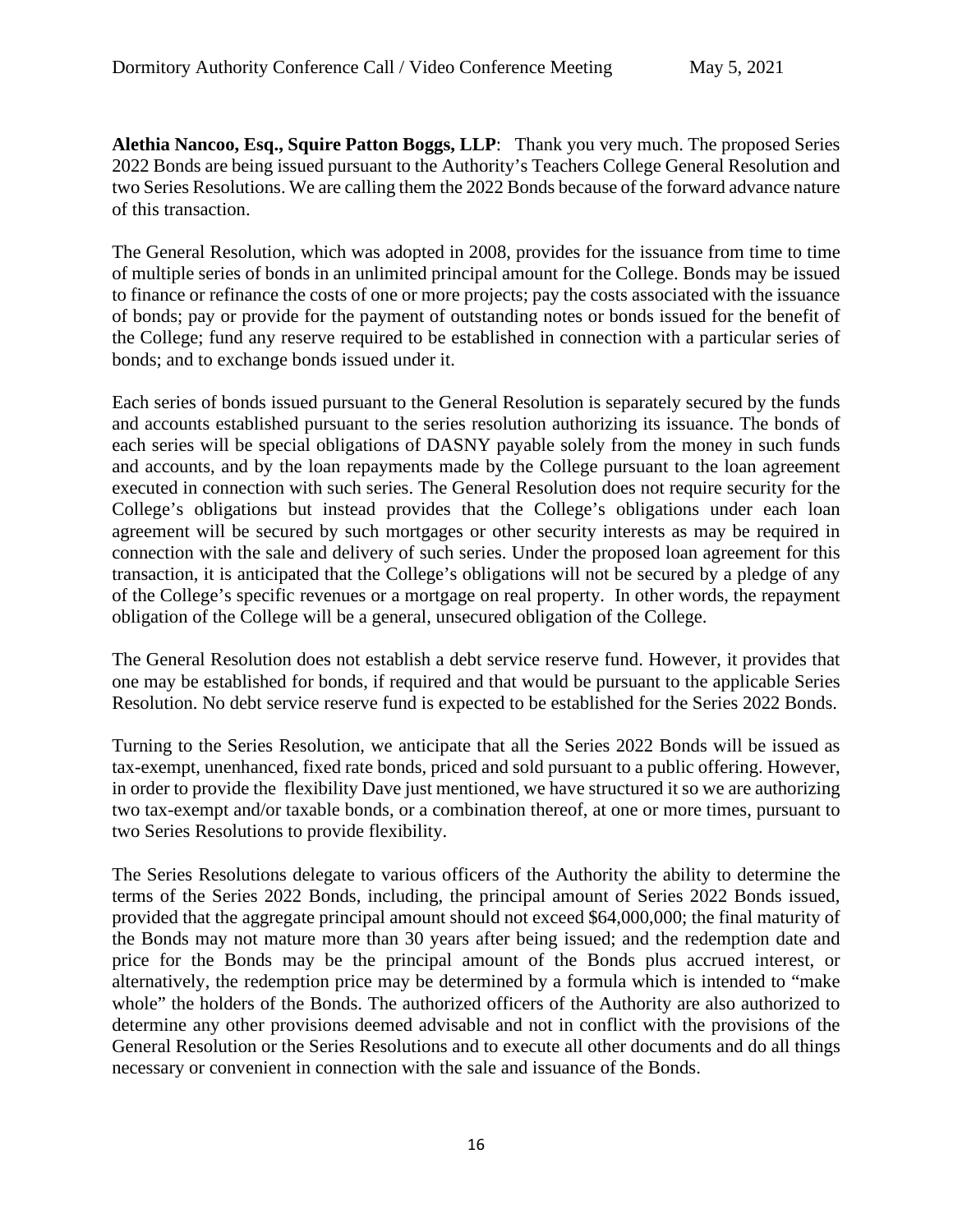**Alethia Nancoo, Esq., Squire Patton Boggs, LLP**: Thank you very much. The proposed Series 2022 Bonds are being issued pursuant to the Authority's Teachers College General Resolution and two Series Resolutions. We are calling them the 2022 Bonds because of the forward advance nature of this transaction.

The General Resolution, which was adopted in 2008, provides for the issuance from time to time of multiple series of bonds in an unlimited principal amount for the College. Bonds may be issued to finance or refinance the costs of one or more projects; pay the costs associated with the issuance of bonds; pay or provide for the payment of outstanding notes or bonds issued for the benefit of the College; fund any reserve required to be established in connection with a particular series of bonds; and to exchange bonds issued under it.

Each series of bonds issued pursuant to the General Resolution is separately secured by the funds and accounts established pursuant to the series resolution authorizing its issuance. The bonds of each series will be special obligations of DASNY payable solely from the money in such funds and accounts, and by the loan repayments made by the College pursuant to the loan agreement executed in connection with such series. The General Resolution does not require security for the College's obligations but instead provides that the College's obligations under each loan agreement will be secured by such mortgages or other security interests as may be required in connection with the sale and delivery of such series. Under the proposed loan agreement for this transaction, it is anticipated that the College's obligations will not be secured by a pledge of any of the College's specific revenues or a mortgage on real property. In other words, the repayment obligation of the College will be a general, unsecured obligation of the College.

The General Resolution does not establish a debt service reserve fund. However, it provides that one may be established for bonds, if required and that would be pursuant to the applicable Series Resolution. No debt service reserve fund is expected to be established for the Series 2022 Bonds.

Turning to the Series Resolution, we anticipate that all the Series 2022 Bonds will be issued as tax-exempt, unenhanced, fixed rate bonds, priced and sold pursuant to a public offering. However, in order to provide the flexibility Dave just mentioned, we have structured it so we are authorizing two tax-exempt and/or taxable bonds, or a combination thereof, at one or more times, pursuant to two Series Resolutions to provide flexibility.

The Series Resolutions delegate to various officers of the Authority the ability to determine the terms of the Series 2022 Bonds, including, the principal amount of Series 2022 Bonds issued, provided that the aggregate principal amount should not exceed \$64,000,000; the final maturity of the Bonds may not mature more than 30 years after being issued; and the redemption date and price for the Bonds may be the principal amount of the Bonds plus accrued interest, or alternatively, the redemption price may be determined by a formula which is intended to "make whole" the holders of the Bonds. The authorized officers of the Authority are also authorized to determine any other provisions deemed advisable and not in conflict with the provisions of the General Resolution or the Series Resolutions and to execute all other documents and do all things necessary or convenient in connection with the sale and issuance of the Bonds.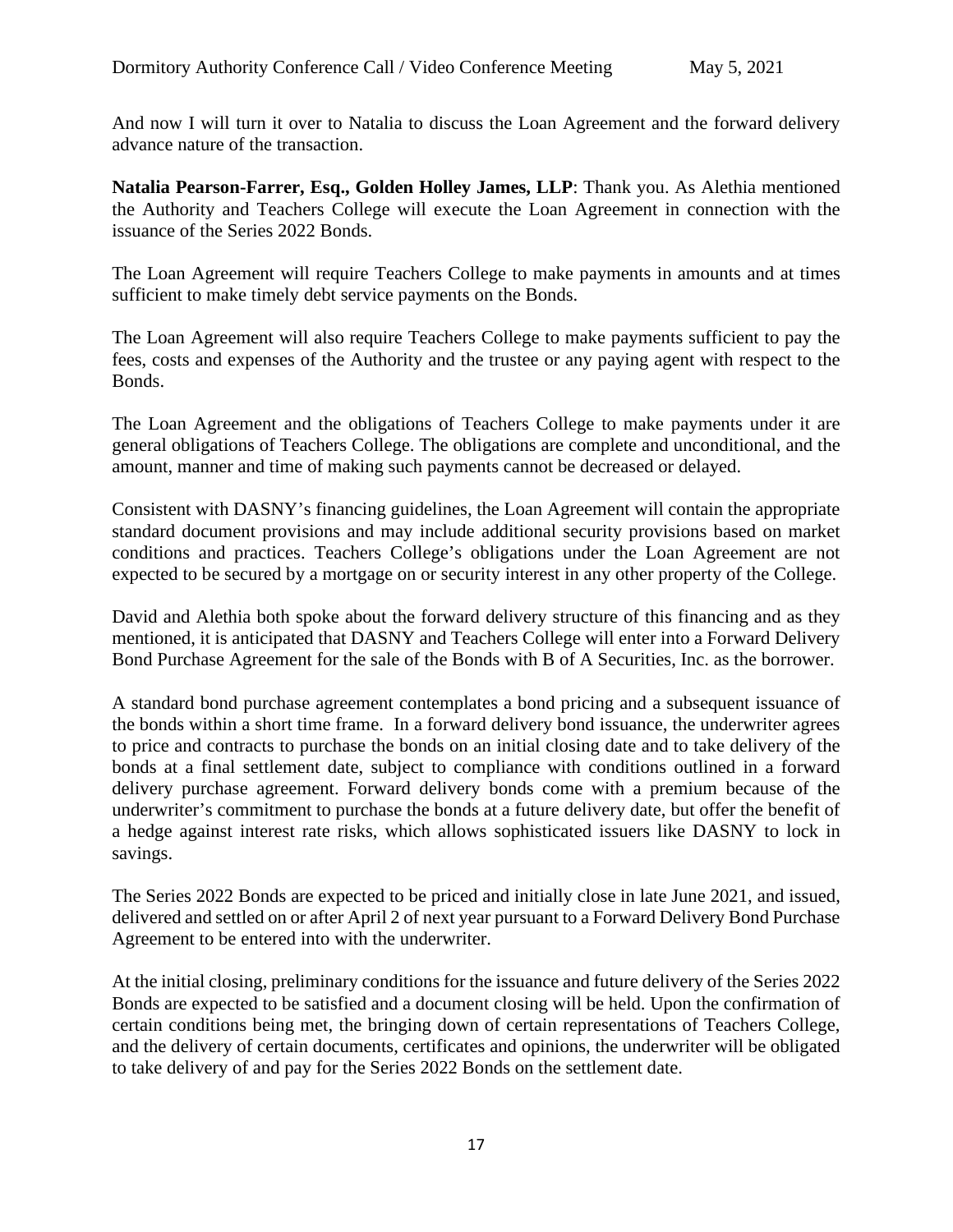And now I will turn it over to Natalia to discuss the Loan Agreement and the forward delivery advance nature of the transaction.

**Natalia Pearson-Farrer, Esq., Golden Holley James, LLP**: Thank you. As Alethia mentioned the Authority and Teachers College will execute the Loan Agreement in connection with the issuance of the Series 2022 Bonds.

The Loan Agreement will require Teachers College to make payments in amounts and at times sufficient to make timely debt service payments on the Bonds.

The Loan Agreement will also require Teachers College to make payments sufficient to pay the fees, costs and expenses of the Authority and the trustee or any paying agent with respect to the Bonds.

The Loan Agreement and the obligations of Teachers College to make payments under it are general obligations of Teachers College. The obligations are complete and unconditional, and the amount, manner and time of making such payments cannot be decreased or delayed.

Consistent with DASNY's financing guidelines, the Loan Agreement will contain the appropriate standard document provisions and may include additional security provisions based on market conditions and practices. Teachers College's obligations under the Loan Agreement are not expected to be secured by a mortgage on or security interest in any other property of the College.

David and Alethia both spoke about the forward delivery structure of this financing and as they mentioned, it is anticipated that DASNY and Teachers College will enter into a Forward Delivery Bond Purchase Agreement for the sale of the Bonds with B of A Securities, Inc. as the borrower.

A standard bond purchase agreement contemplates a bond pricing and a subsequent issuance of the bonds within a short time frame. In a forward delivery bond issuance, the underwriter agrees to price and contracts to purchase the bonds on an initial closing date and to take delivery of the bonds at a final settlement date, subject to compliance with conditions outlined in a forward delivery purchase agreement. Forward delivery bonds come with a premium because of the underwriter's commitment to purchase the bonds at a future delivery date, but offer the benefit of a hedge against interest rate risks, which allows sophisticated issuers like DASNY to lock in savings.

The Series 2022 Bonds are expected to be priced and initially close in late June 2021, and issued, delivered and settled on or after April 2 of next year pursuant to a Forward Delivery Bond Purchase Agreement to be entered into with the underwriter.

At the initial closing, preliminary conditions for the issuance and future delivery of the Series 2022 Bonds are expected to be satisfied and a document closing will be held. Upon the confirmation of certain conditions being met, the bringing down of certain representations of Teachers College, and the delivery of certain documents, certificates and opinions, the underwriter will be obligated to take delivery of and pay for the Series 2022 Bonds on the settlement date.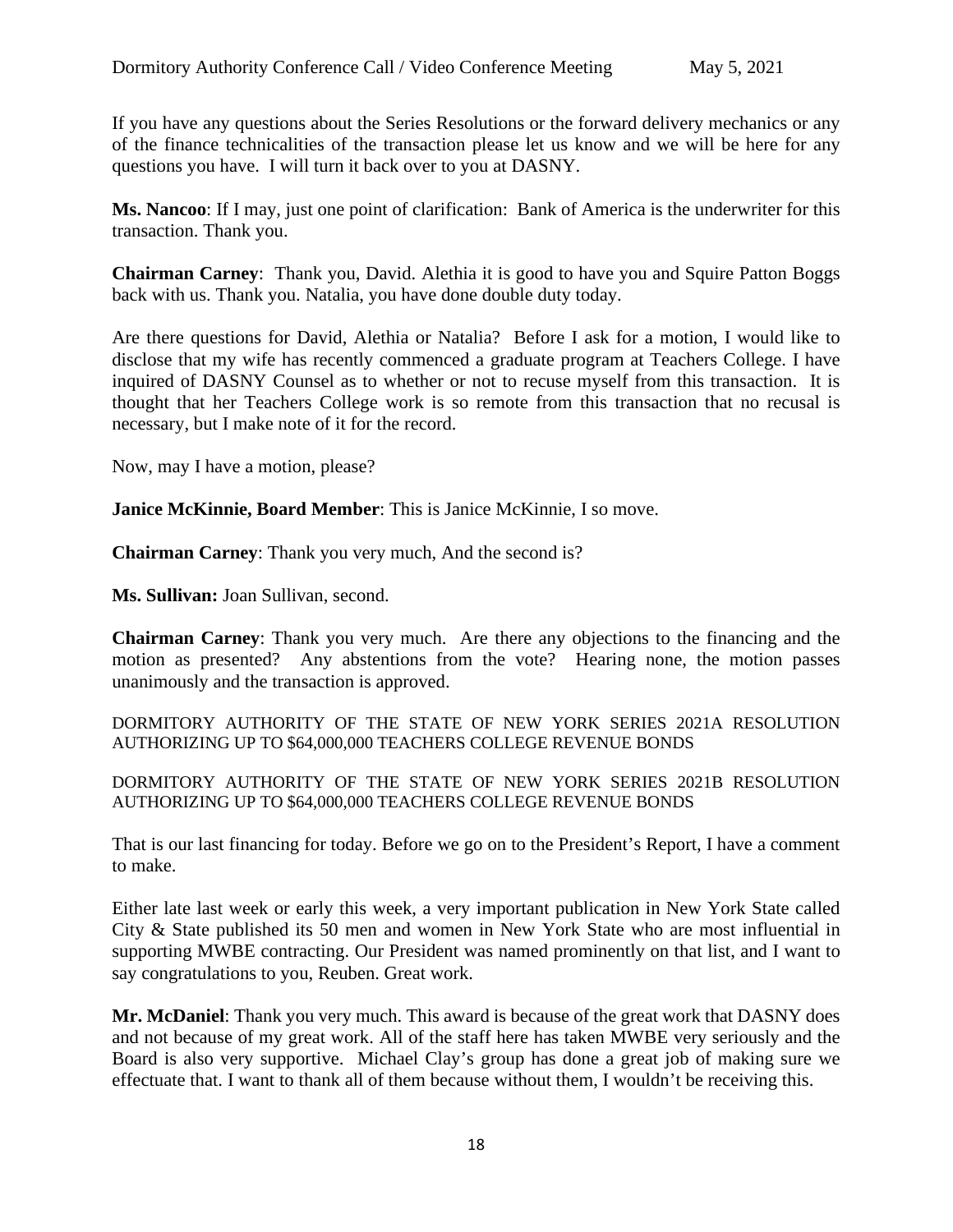If you have any questions about the Series Resolutions or the forward delivery mechanics or any of the finance technicalities of the transaction please let us know and we will be here for any questions you have. I will turn it back over to you at DASNY.

**Ms. Nancoo**: If I may, just one point of clarification: Bank of America is the underwriter for this transaction. Thank you.

**Chairman Carney**: Thank you, David. Alethia it is good to have you and Squire Patton Boggs back with us. Thank you. Natalia, you have done double duty today.

Are there questions for David, Alethia or Natalia? Before I ask for a motion, I would like to disclose that my wife has recently commenced a graduate program at Teachers College. I have inquired of DASNY Counsel as to whether or not to recuse myself from this transaction. It is thought that her Teachers College work is so remote from this transaction that no recusal is necessary, but I make note of it for the record.

Now, may I have a motion, please?

**Janice McKinnie, Board Member**: This is Janice McKinnie, I so move.

**Chairman Carney**: Thank you very much, And the second is?

**Ms. Sullivan:** Joan Sullivan, second.

**Chairman Carney**: Thank you very much. Are there any objections to the financing and the motion as presented? Any abstentions from the vote? Hearing none, the motion passes unanimously and the transaction is approved.

DORMITORY AUTHORITY OF THE STATE OF NEW YORK SERIES 2021A RESOLUTION AUTHORIZING UP TO \$64,000,000 TEACHERS COLLEGE REVENUE BONDS

DORMITORY AUTHORITY OF THE STATE OF NEW YORK SERIES 2021B RESOLUTION AUTHORIZING UP TO \$64,000,000 TEACHERS COLLEGE REVENUE BONDS

That is our last financing for today. Before we go on to the President's Report, I have a comment to make.

Either late last week or early this week, a very important publication in New York State called City & State published its 50 men and women in New York State who are most influential in supporting MWBE contracting. Our President was named prominently on that list, and I want to say congratulations to you, Reuben. Great work.

**Mr. McDaniel**: Thank you very much. This award is because of the great work that DASNY does and not because of my great work. All of the staff here has taken MWBE very seriously and the Board is also very supportive. Michael Clay's group has done a great job of making sure we effectuate that. I want to thank all of them because without them, I wouldn't be receiving this.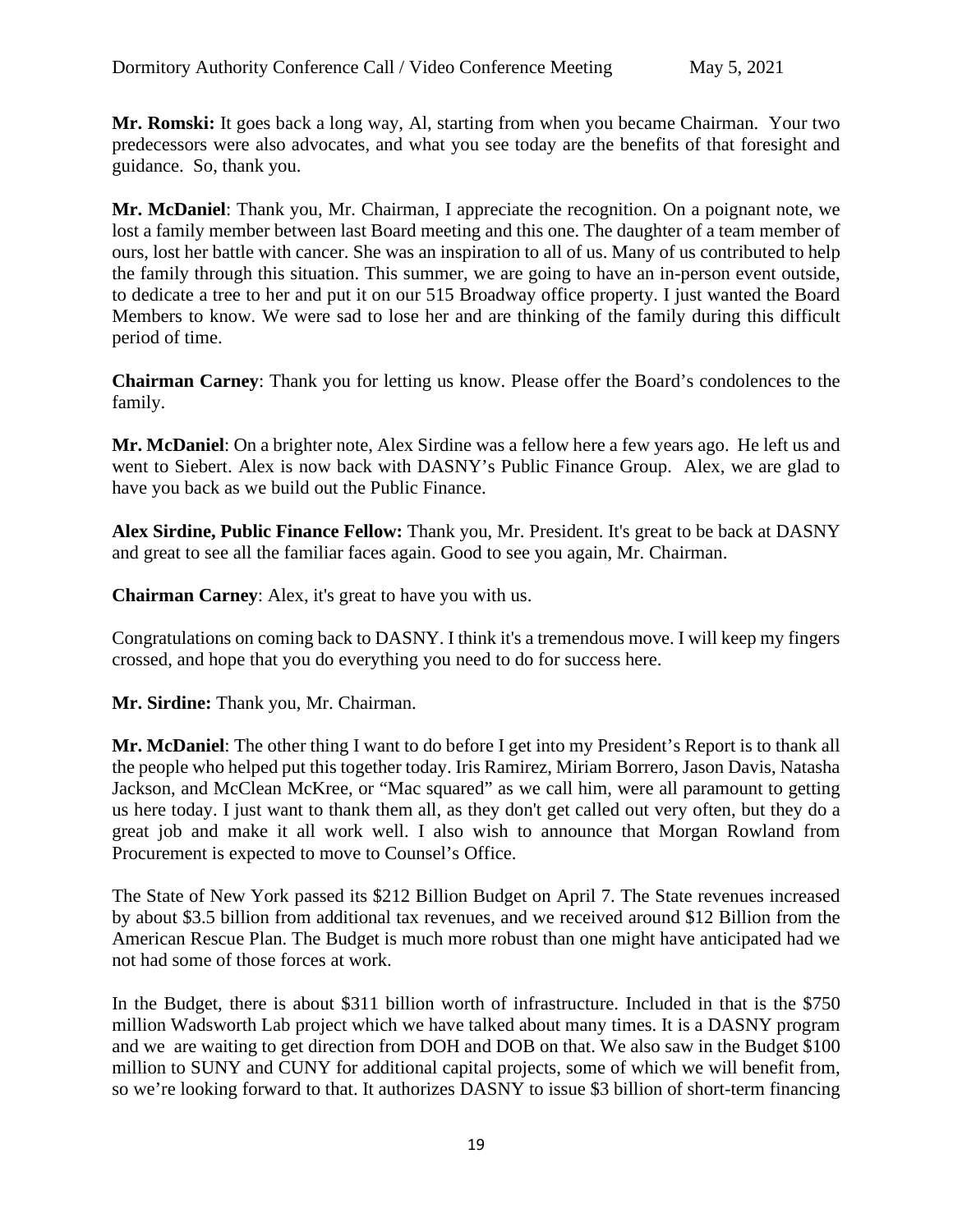**Mr. Romski:** It goes back a long way, Al, starting from when you became Chairman. Your two predecessors were also advocates, and what you see today are the benefits of that foresight and guidance. So, thank you.

**Mr. McDaniel**: Thank you, Mr. Chairman, I appreciate the recognition. On a poignant note, we lost a family member between last Board meeting and this one. The daughter of a team member of ours, lost her battle with cancer. She was an inspiration to all of us. Many of us contributed to help the family through this situation. This summer, we are going to have an in-person event outside, to dedicate a tree to her and put it on our 515 Broadway office property. I just wanted the Board Members to know. We were sad to lose her and are thinking of the family during this difficult period of time.

**Chairman Carney**: Thank you for letting us know. Please offer the Board's condolences to the family.

**Mr. McDaniel**: On a brighter note, Alex Sirdine was a fellow here a few years ago. He left us and went to Siebert. Alex is now back with DASNY's Public Finance Group. Alex, we are glad to have you back as we build out the Public Finance.

**Alex Sirdine, Public Finance Fellow:** Thank you, Mr. President. It's great to be back at DASNY and great to see all the familiar faces again. Good to see you again, Mr. Chairman.

**Chairman Carney**: Alex, it's great to have you with us.

Congratulations on coming back to DASNY. I think it's a tremendous move. I will keep my fingers crossed, and hope that you do everything you need to do for success here.

**Mr. Sirdine:** Thank you, Mr. Chairman.

**Mr. McDaniel**: The other thing I want to do before I get into my President's Report is to thank all the people who helped put this together today. Iris Ramirez, Miriam Borrero, Jason Davis, Natasha Jackson, and McClean McKree, or "Mac squared" as we call him, were all paramount to getting us here today. I just want to thank them all, as they don't get called out very often, but they do a great job and make it all work well. I also wish to announce that Morgan Rowland from Procurement is expected to move to Counsel's Office.

The State of New York passed its \$212 Billion Budget on April 7. The State revenues increased by about \$3.5 billion from additional tax revenues, and we received around \$12 Billion from the American Rescue Plan. The Budget is much more robust than one might have anticipated had we not had some of those forces at work.

In the Budget, there is about \$311 billion worth of infrastructure. Included in that is the \$750 million Wadsworth Lab project which we have talked about many times. It is a DASNY program and we are waiting to get direction from DOH and DOB on that. We also saw in the Budget \$100 million to SUNY and CUNY for additional capital projects, some of which we will benefit from, so we're looking forward to that. It authorizes DASNY to issue \$3 billion of short-term financing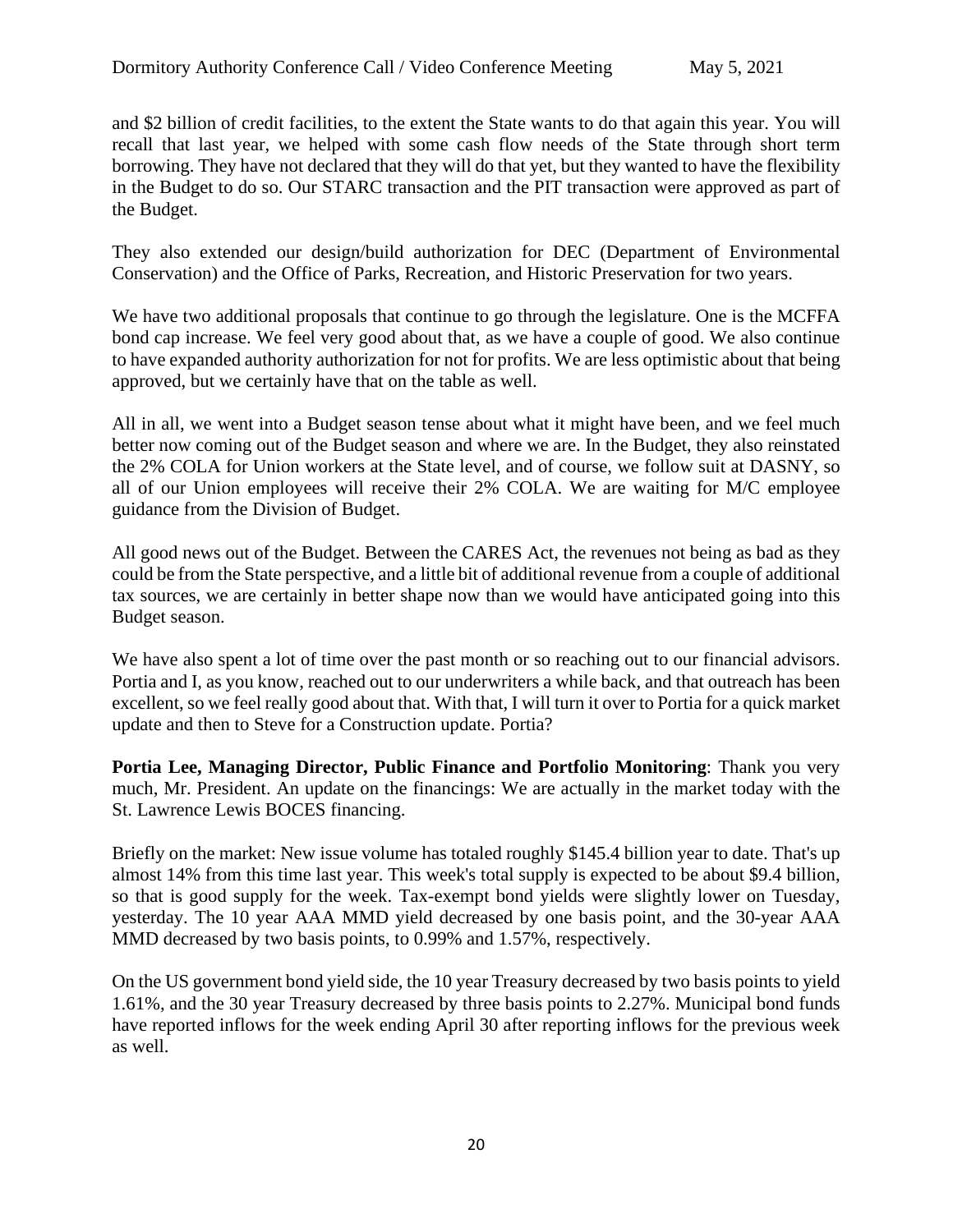and \$2 billion of credit facilities, to the extent the State wants to do that again this year. You will recall that last year, we helped with some cash flow needs of the State through short term borrowing. They have not declared that they will do that yet, but they wanted to have the flexibility in the Budget to do so. Our STARC transaction and the PIT transaction were approved as part of the Budget.

They also extended our design/build authorization for DEC (Department of Environmental Conservation) and the Office of Parks, Recreation, and Historic Preservation for two years.

We have two additional proposals that continue to go through the legislature. One is the MCFFA bond cap increase. We feel very good about that, as we have a couple of good. We also continue to have expanded authority authorization for not for profits. We are less optimistic about that being approved, but we certainly have that on the table as well.

All in all, we went into a Budget season tense about what it might have been, and we feel much better now coming out of the Budget season and where we are. In the Budget, they also reinstated the 2% COLA for Union workers at the State level, and of course, we follow suit at DASNY, so all of our Union employees will receive their 2% COLA. We are waiting for M/C employee guidance from the Division of Budget.

All good news out of the Budget. Between the CARES Act, the revenues not being as bad as they could be from the State perspective, and a little bit of additional revenue from a couple of additional tax sources, we are certainly in better shape now than we would have anticipated going into this Budget season.

We have also spent a lot of time over the past month or so reaching out to our financial advisors. Portia and I, as you know, reached out to our underwriters a while back, and that outreach has been excellent, so we feel really good about that. With that, I will turn it over to Portia for a quick market update and then to Steve for a Construction update. Portia?

**Portia Lee, Managing Director, Public Finance and Portfolio Monitoring**: Thank you very much, Mr. President. An update on the financings: We are actually in the market today with the St. Lawrence Lewis BOCES financing.

Briefly on the market: New issue volume has totaled roughly \$145.4 billion year to date. That's up almost 14% from this time last year. This week's total supply is expected to be about \$9.4 billion, so that is good supply for the week. Tax-exempt bond yields were slightly lower on Tuesday, yesterday. The 10 year AAA MMD yield decreased by one basis point, and the 30-year AAA MMD decreased by two basis points, to 0.99% and 1.57%, respectively.

On the US government bond yield side, the 10 year Treasury decreased by two basis points to yield 1.61%, and the 30 year Treasury decreased by three basis points to 2.27%. Municipal bond funds have reported inflows for the week ending April 30 after reporting inflows for the previous week as well.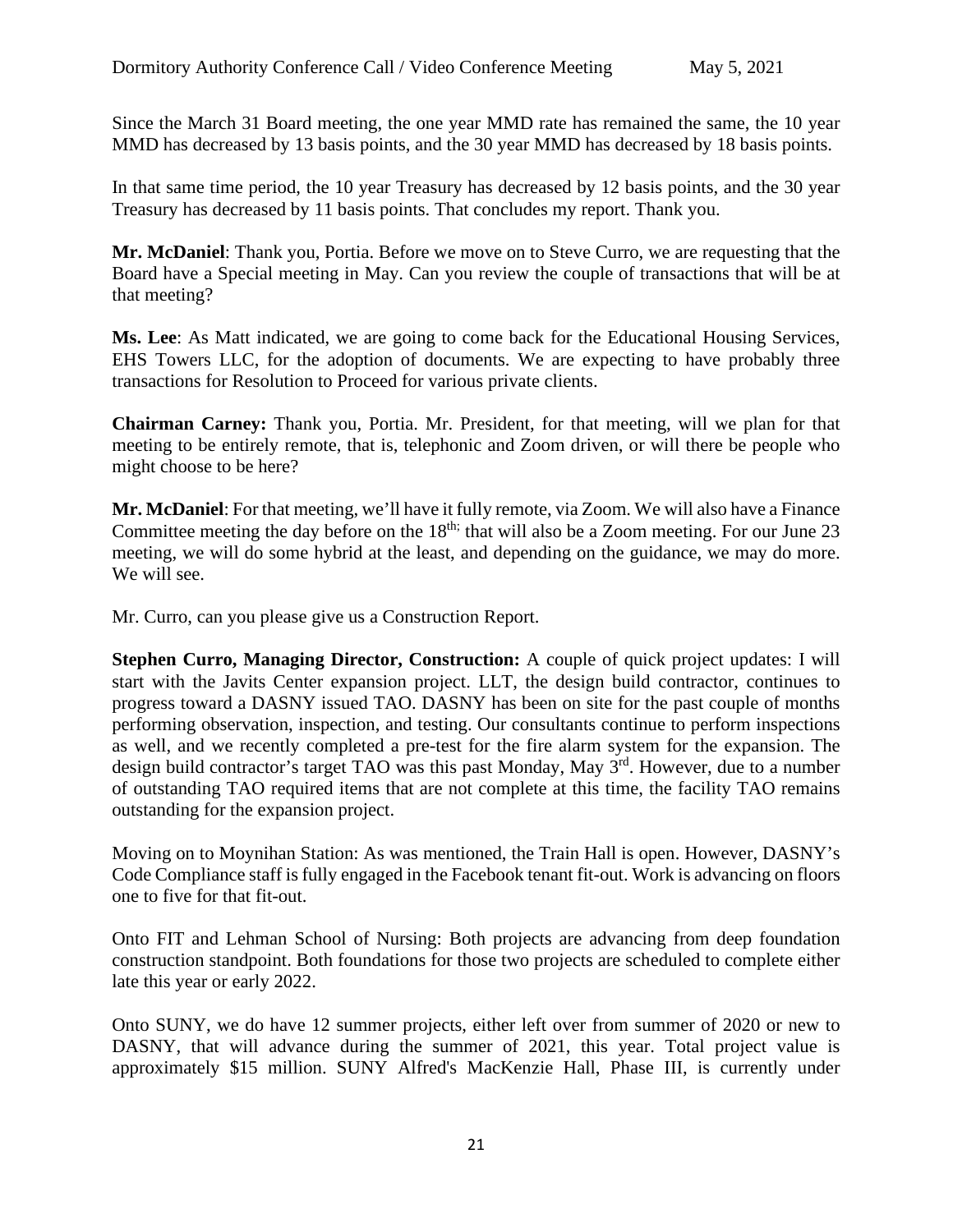Since the March 31 Board meeting, the one year MMD rate has remained the same, the 10 year MMD has decreased by 13 basis points, and the 30 year MMD has decreased by 18 basis points.

In that same time period, the 10 year Treasury has decreased by 12 basis points, and the 30 year Treasury has decreased by 11 basis points. That concludes my report. Thank you.

**Mr. McDaniel**: Thank you, Portia. Before we move on to Steve Curro, we are requesting that the Board have a Special meeting in May. Can you review the couple of transactions that will be at that meeting?

**Ms. Lee**: As Matt indicated, we are going to come back for the Educational Housing Services, EHS Towers LLC, for the adoption of documents. We are expecting to have probably three transactions for Resolution to Proceed for various private clients.

**Chairman Carney:** Thank you, Portia. Mr. President, for that meeting, will we plan for that meeting to be entirely remote, that is, telephonic and Zoom driven, or will there be people who might choose to be here?

**Mr. McDaniel**: For that meeting, we'll have it fully remote, via Zoom. We will also have a Finance Committee meeting the day before on the  $18<sup>th</sup>$ ; that will also be a Zoom meeting. For our June 23 meeting, we will do some hybrid at the least, and depending on the guidance, we may do more. We will see.

Mr. Curro, can you please give us a Construction Report.

**Stephen Curro, Managing Director, Construction:** A couple of quick project updates: I will start with the Javits Center expansion project. LLT, the design build contractor, continues to progress toward a DASNY issued TAO. DASNY has been on site for the past couple of months performing observation, inspection, and testing. Our consultants continue to perform inspections as well, and we recently completed a pre-test for the fire alarm system for the expansion. The design build contractor's target TAO was this past Monday, May 3<sup>rd</sup>. However, due to a number of outstanding TAO required items that are not complete at this time, the facility TAO remains outstanding for the expansion project.

Moving on to Moynihan Station: As was mentioned, the Train Hall is open. However, DASNY's Code Compliance staff is fully engaged in the Facebook tenant fit-out. Work is advancing on floors one to five for that fit-out.

Onto FIT and Lehman School of Nursing: Both projects are advancing from deep foundation construction standpoint. Both foundations for those two projects are scheduled to complete either late this year or early 2022.

Onto SUNY, we do have 12 summer projects, either left over from summer of 2020 or new to DASNY, that will advance during the summer of 2021, this year. Total project value is approximately \$15 million. SUNY Alfred's MacKenzie Hall, Phase III, is currently under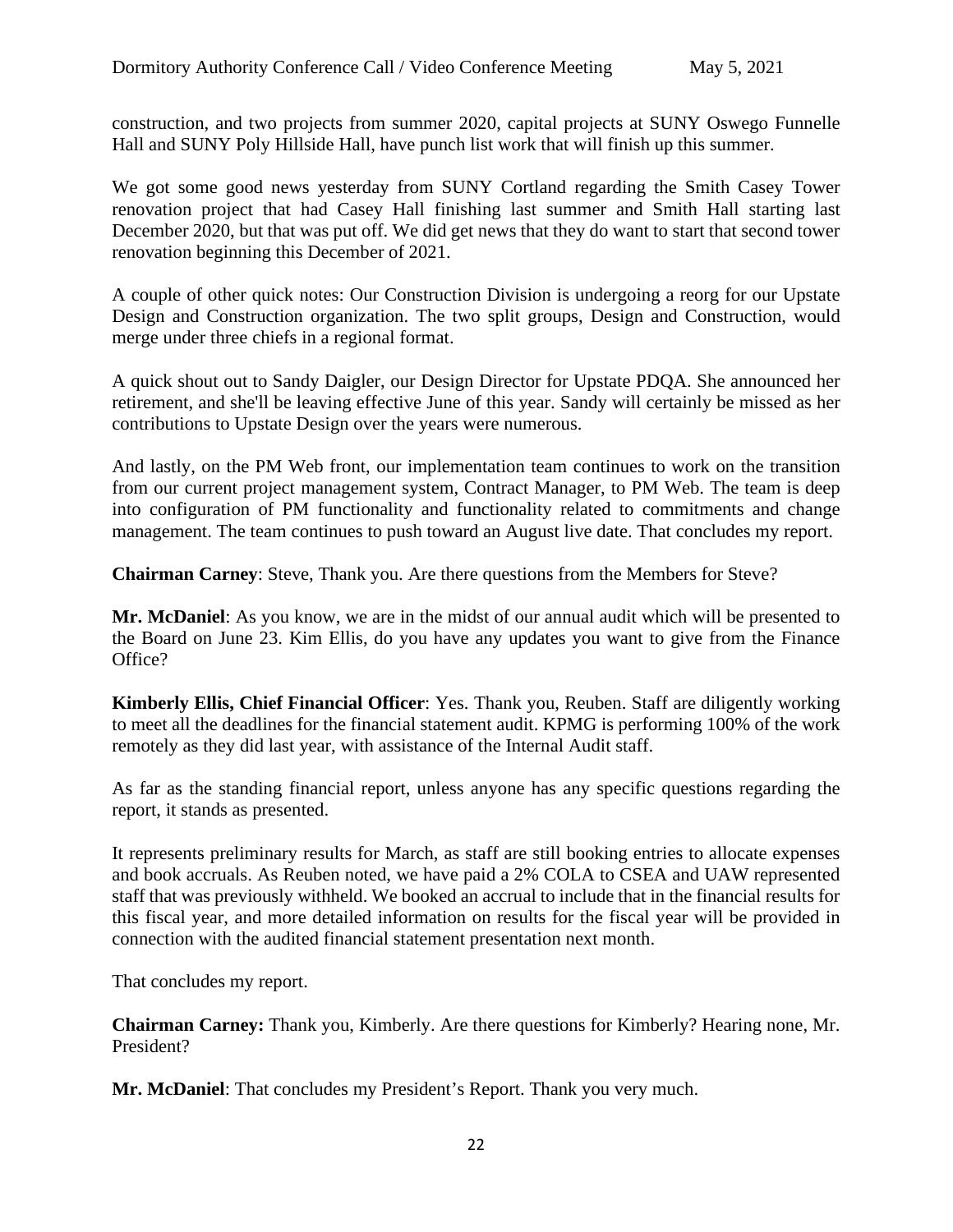construction, and two projects from summer 2020, capital projects at SUNY Oswego Funnelle Hall and SUNY Poly Hillside Hall, have punch list work that will finish up this summer.

We got some good news yesterday from SUNY Cortland regarding the Smith Casey Tower renovation project that had Casey Hall finishing last summer and Smith Hall starting last December 2020, but that was put off. We did get news that they do want to start that second tower renovation beginning this December of 2021.

A couple of other quick notes: Our Construction Division is undergoing a reorg for our Upstate Design and Construction organization. The two split groups, Design and Construction, would merge under three chiefs in a regional format.

A quick shout out to Sandy Daigler, our Design Director for Upstate PDQA. She announced her retirement, and she'll be leaving effective June of this year. Sandy will certainly be missed as her contributions to Upstate Design over the years were numerous.

And lastly, on the PM Web front, our implementation team continues to work on the transition from our current project management system, Contract Manager, to PM Web. The team is deep into configuration of PM functionality and functionality related to commitments and change management. The team continues to push toward an August live date. That concludes my report.

**Chairman Carney**: Steve, Thank you. Are there questions from the Members for Steve?

**Mr. McDaniel**: As you know, we are in the midst of our annual audit which will be presented to the Board on June 23. Kim Ellis, do you have any updates you want to give from the Finance Office?

**Kimberly Ellis, Chief Financial Officer**: Yes. Thank you, Reuben. Staff are diligently working to meet all the deadlines for the financial statement audit. KPMG is performing 100% of the work remotely as they did last year, with assistance of the Internal Audit staff.

As far as the standing financial report, unless anyone has any specific questions regarding the report, it stands as presented.

It represents preliminary results for March, as staff are still booking entries to allocate expenses and book accruals. As Reuben noted, we have paid a 2% COLA to CSEA and UAW represented staff that was previously withheld. We booked an accrual to include that in the financial results for this fiscal year, and more detailed information on results for the fiscal year will be provided in connection with the audited financial statement presentation next month.

That concludes my report.

**Chairman Carney:** Thank you, Kimberly. Are there questions for Kimberly? Hearing none, Mr. President?

**Mr. McDaniel**: That concludes my President's Report. Thank you very much.